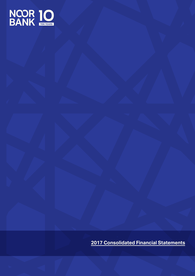

**2017 Consolidated Financial Statements**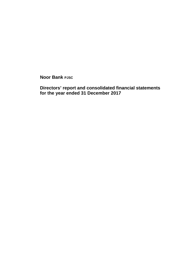**Directors' report and consolidated financial statements for the year ended 31 December 2017**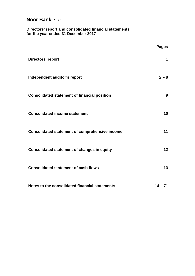### **Directors' report and consolidated financial statements for the year ended 31 December 2017**

|                                                       | <b>Pages</b>    |
|-------------------------------------------------------|-----------------|
| Directors' report                                     | 1               |
| Independent auditor's report                          | $2 - 8$         |
| <b>Consolidated statement of financial position</b>   | 9               |
| <b>Consolidated income statement</b>                  | 10 <sup>°</sup> |
| <b>Consolidated statement of comprehensive income</b> | 11              |
| <b>Consolidated statement of changes in equity</b>    | 12 <sub>2</sub> |
| <b>Consolidated statement of cash flows</b>           | 13              |
| Notes to the consolidated financial statements        | $14 - 71$       |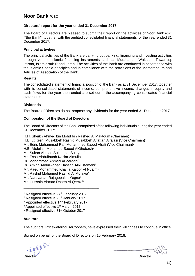### **Directors' report for the year ended 31 December 2017**

The Board of Directors are pleased to submit their report on the activities of Noor Bank PJSC ("the Bank") together with the audited consolidated financial statements for the year ended 31 December 2017.

### **Principal activities**

The principal activities of the Bank are carrying out banking, financing and investing activities through various Islamic financing instruments such as Murabahah, Wakalah, Tawarruq, Istisna, Islamic sukuk and Ijarah. The activities of the Bank are conducted in accordance with the Islamic Shari'a principles and in compliance with the provisions of the Memorandum and Articles of Association of the Bank.

### **Results**

The consolidated statement of financial position of the Bank as at 31 December 2017, together with its consolidated statements of income, comprehensive income, changes in equity and cash flows for the year then ended are set out in the accompanying consolidated financial statements.

### **Dividends**

The Board of Directors do not propose any dividends for the year ended 31 December 2017.

### **Composition of the Board of Directors**

The Board of Directors of the Bank comprised of the following individuals during the year ended 31 December 2017:

H.H. Sheikh Ahmed bin Mohd bin Rashed Al Maktoum (Chairman)

- H.E. Lt. Gen. Musabbeh Rashid Musabbeh Alfattan Alfalasi (Vice Chairman)<sup>1</sup>
- Mr. Edris Mohammad Rafi Mohammad Saeed Alrafi (Vice Chairman)3
- H.E. Abdullah Mohamed Saeed AlGhobash2
- Mr. Sultan Ahmad Sultan bin Sulayem<sup>1</sup>
- Mr. Essa Abdulfattah Kazim Almulla
- Dr. Mohammed Ahmed Al Zarooni3
- Dr. Amina Abdulwahed Hassan AlRustamani3
- Mr. Raed Mohammed Khalifa Kajoor Al Nuaimi<sup>3</sup>

 $\_$  , and the set of the set of the set of the set of the set of the set of the set of the set of the set of the set of the set of the set of the set of the set of the set of the set of the set of the set of the set of th

- Mr. Rashid Mohamed Rashid Al Mutawa4
- Mr. Narayanan Rajagopalan Yegna<sup>3</sup>
- Mr. Hussain Ahmad Dhaen Al Qemzi5

<sup>1</sup> Resigned effective 27<sup>th</sup> February 2017

<sup>2</sup> Resigned effective 25<sup>th</sup> January 2017

<sup>3</sup> Appointed effective 14<sup>th</sup> February 2017

4 Appointed effective 1st March 2017

<sup>5</sup> Resigned effective 31st October 2017

### **Auditors**

The auditors, PricewaterhouseCoopers, have expressed their willingness to continue in office.

Signed on behalf of the Board of Directors on 15 February 2018.

Director Director

 $\mathbb{M}\setminus\mathbb{M}$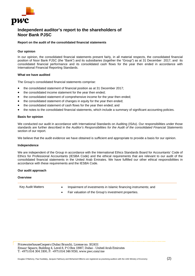

#### **Report on the audit of the consolidated financial statements**

#### **Our opinion**

In our opinion, the consolidated financial statements present fairly, in all material respects, the consolidated financial position of Noor Bank PJSC (the "Bank") and its subsidiaries (together the "Group") as at 31 December 2017, and its consolidated financial performance and its consolidated cash flows for the year then ended in accordance with International Financial Reporting Standards.

#### **What we have audited**

The Group's consolidated financial statements comprise:

- the consolidated statement of financial position as at 31 December 2017;
- the consolidated income statement for the year then ended;
- the consolidated statement of comprehensive income for the year then ended;
- the consolidated statement of changes in equity for the year then ended;
- the consolidated statement of cash flows for the year then ended; and
- the notes to the consolidated financial statements, which include a summary of significant accounting policies.

#### **Basis for opinion**

We conducted our audit in accordance with International Standards on Auditing (ISAs). Our responsibilities under those standards are further described in the *Auditor's Responsibilities for the Audit of the consolidated Financial Statements* section of our report.

We believe that the audit evidence we have obtained is sufficient and appropriate to provide a basis for our opinion.

#### **Independence**

We are independent of the Group in accordance with the International Ethics Standards Board for Accountants' Code of Ethics for Professional Accountants (IESBA Code) and the ethical requirements that are relevant to our audit of the consolidated financial statements in the United Arab Emirates. We have fulfilled our other ethical responsibilities in accordance with these requirements and the IESBA Code.

#### **Our audit approach**

#### **Overview**

|  |  | <b>Key Audit Matters</b> |
|--|--|--------------------------|
|--|--|--------------------------|

- Impairment of investments in Islamic financing instruments; and
- Fair valuation of the Group's investment properties.

*PricewaterhouseCoopers (Dubai Branch), License no. 102451 Emaar Square, Building 4, Level 8, P O Box 11987, Dubai - United Arab Emirates T: +971 (0)4 304 3100, F: +971 (0)4 346 9150, www.pwc.com/me*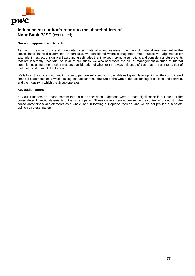

#### **Our audit approach** (continued)

As part of designing our audit, we determined materiality and assessed the risks of material misstatement in the consolidated financial statements. In particular, we considered where management made subjective judgements; for example, in respect of significant accounting estimates that involved making assumptions and considering future events that are inherently uncertain. As in all of our audits, we also addressed the risk of management override of internal controls, including among other matters consideration of whether there was evidence of bias that represented a risk of material misstatement due to fraud.

We tailored the scope of our audit in order to perform sufficient work to enable us to provide an opinion on the consolidated financial statements as a whole, taking into account the structure of the Group, the accounting processes and controls, and the industry in which the Group operates.

#### **Key audit matters**

Key audit matters are those matters that, in our professional judgment, were of most significance in our audit of the consolidated financial statements of the current period. These matters were addressed in the context of our audit of the consolidated financial statements as a whole, and in forming our opinion thereon, and we do not provide a separate opinion on these matters.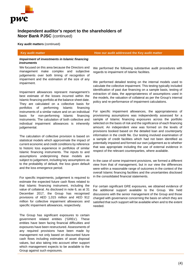

**Key audit matters** (continued)

**Key audit matter How our audit addressed the Key audit matter**

#### *Impairment of investments in Islamic financing instruments*

We focused on this area because the Directors and management make complex and subjective judgements over both timing of recognition of impairment and the estimation of the size of any impairment.

Impairment allowances represent management's best estimate of the losses incurred within the Islamic financing portfolio at the balance sheet date. They are calculated on a collective basis for portfolios of performing Islamic financing instruments of a similar nature and on an individual basis for non-performing Islamic financing instruments. The calculation of both collective and individual impairment allowances is inherently judgemental.

The calculation of collective provision is based on statistical models which approximate the impact of current economic and credit conditions by reference to historic loss experience in portfolios of similar Islamic financing instruments. The inputs to and assumptions underpinning these models are subject to judgement, including key assumptions as to the probability of default, the loss given default and the loss emergence period.

For specific impairments, judgement is required to estimate the expected future cash flows related to that Islamic financing instrument, including the value of collateral. As disclosed in note 6, as at 31 December 2017, the Group has recognised provisions of AED 1,015 million and AED 912 million for collective impairment allowances and specific impairment allowances, respectively.

The Group has significant exposures to certain government related entities ('GREs'). These entities have been facing financial difficulties and exposures have been restructured. Assessments of any required provisions have been made by management not only based on discounted future cash flows including estimates of asset disposal values, but also taking into account other support which management expects to be available to the Group against such exposures.

We performed the following substantive audit procedures with regards to impairment of Islamic facilities.

We performed detailed testing on the internal models used to calculate the collective impairment. This testing typically included identification of past due financing on a sample basis, testing of extraction of data, the appropriateness of assumptions used in the models, the valuation of collateral as per the Group's internal policy and re-performance of impairment calculations.

For specific impairment allowances, the appropriateness of provisioning assumptions was independently assessed for a sample of Islamic financing exposures across the portfolio selected on the basis of risk and the significance of each financing amount. An independent view was formed on the levels of provisions booked based on the detailed loan and counterparty information in the credit file. Our testing involved examination of a sample of credit facilities which had not been identified as potentially impaired and formed our own judgement as to whether that was appropriate including the use of external evidence in respect of the relevant counterparties, where available.

In the case of some impairment provisions, we formed a different view from that of management, but in our view the differences were within a reasonable range of outcomes in the context of the overall Islamic financing facilities and the uncertainties disclosed in the consolidated financial statements.

For certain significant GRE exposures, we obtained evidence of the additional support available to the Group. We held discussions with the senior management of the Group and those charged with governance concerning the basis on which they are satisfied that such support will be available when and to the extent needed.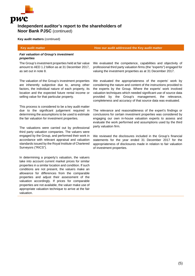

**Key audit matters** (continued)

#### **Key audit matter How our audit addressed the Key audit matter**

#### *Fair valuation of Group's investment properties*

The Group's investment properties held at fair value amount to AED 1.2 billion as at 31 December 2017, as set out in note 8.

The valuation of the Group's investment properties are inherently subjective due to, among other factors, the individual nature of each property, its location and the expected future rental income or selling value for that particular property.

This process is considered to be a key audit matter due to the significant judgement required in determining the assumptions to be used to estimate the fair valuation for investment properties.

The valuations were carried out by professional third party valuation companies. The valuers were engaged by the Group, and performed their work in accordance with relevant appraisal and valuation standards issued by the Royal Institute of Chartered Surveyors ("RICS").

In determining a property's valuation, the valuers take into account current market prices for similar properties in a similar location and condition. If such conditions are not present, the valuers make an allowance for differences from the comparable properties and adjust their assessment of the valuation accordingly. If prices for comparable properties are not available, the valuer make use of appropriate valuation technique to arrive at the fair valuation.

We evaluated the competence, capabilities and objectivity of professional third party valuation firms (the "experts") engaged for valuing the investment properties as at 31 December 2017.

We evaluated the appropriateness of the experts' work by considering the nature and content of the instructions provided to the experts by the Group. Where the experts' work involved valuation techniques which needed significant use of source data provided by the Group's management, the relevance, completeness and accuracy of that source data was evaluated.

The relevance and reasonableness of the expert's findings or conclusions for certain investment properties was considered by engaging our own in-house valuation experts to assess and evaluate the work performed and assumptions used by the third party valuation firm.

We reviewed the disclosures included in the Group's financial statements for the year ended 31 December 2017 for the appropriateness of disclosures made in relation to fair valuation of investment properties.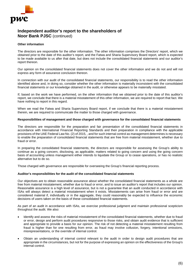

#### **Other information**

The directors are responsible for the other information. The other information comprises the Directors' report, which we obtained prior to the date of this auditor's report, and the Fatwa and Sharia Supervisory Board report, which is expected to be made available to us after that date, but does not include the consolidated financial statements and our auditor's report thereon.

Our opinion on the consolidated financial statements does not cover the other information and we do not and will not express any form of assurance conclusion thereon.

In connection with our audit of the consolidated financial statements, our responsibility is to read the other information identified above and, in doing so, consider whether the other information is materially inconsistent with the consolidated financial statements or our knowledge obtained in the audit, or otherwise appears to be materially misstated.

If, based on the work we have performed, on the other information that we obtained prior to the date of this auditor's report, we conclude that there is a material misstatement of this other information, we are required to report that fact. We have nothing to report in this regard.

When we read the Fatwa and Sharia Supervisory Board report, if we conclude that there is a material misstatement therein, we are required to communicate the matter to those charged with governance.

#### **Responsibilities of management and those charged with governance for the consolidated financial statements**

The directors are responsible for the preparation and fair presentation of the consolidated financial statements in accordance with International Financial Reporting Standards and their preparation in compliance with the applicable provisions of the UAE Federal Law No. (2) of 2015, , and for such internal control as management determines is necessary to enable the preparation of consolidated financial statements that are free from material misstatement, whether due to fraud or error.

In preparing the consolidated financial statements, the directors are responsible for assessing the Group's ability to continue as a going concern, disclosing, as applicable, matters related to going concern and using the going concern basis of accounting unless management either intends to liquidate the Group or to cease operations, or has no realistic alternative but to do so.

Those charged with governance are responsible for overseeing the Group's financial reporting process.

#### **Auditor's responsibilities for the audit of the consolidated financial statements**

Our objectives are to obtain reasonable assurance about whether the consolidated financial statements as a whole are free from material misstatement, whether due to fraud or error, and to issue an auditor's report that includes our opinion. Reasonable assurance is a high level of assurance, but is not a guarantee that an audit conducted in accordance with ISAs will always detect a material misstatement when it exists. Misstatements can arise from fraud or error and are considered material if, individually or in the aggregate, they could reasonably be expected to influence the economic decisions of users taken on the basis of these consolidated financial statements.

As part of an audit in accordance with ISAs, we exercise professional judgment and maintain professional scepticism throughout the audit. We also:

- Identify and assess the risks of material misstatement of the consolidated financial statements, whether due to fraud or error, design and perform audit procedures responsive to those risks, and obtain audit evidence that is sufficient and appropriate to provide a basis for our opinion. The risk of not detecting a material misstatement resulting from fraud is higher than for one resulting from error, as fraud may involve collusion, forgery, intentional omissions, misrepresentations, or the override of internal control.
- Obtain an understanding of internal control relevant to the audit in order to design audit procedures that are appropriate in the circumstances, but not for the purpose of expressing an opinion on the effectiveness of the Group's internal control.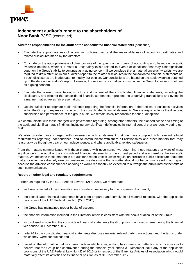

#### **Auditor's responsibilities for the audit of the consolidated financial statements** (continued)

- Evaluate the appropriateness of accounting policies used and the reasonableness of accounting estimates and related disclosures made by the directors.
- Conclude on the appropriateness of directors' use of the going concern basis of accounting and, based on the audit evidence obtained, whether a material uncertainty exists related to events or conditions that may cast significant doubt on the Group's ability to continue as a going concern. If we conclude that a material uncertainty exists, we are required to draw attention in our auditor's report to the related disclosures in the consolidated financial statements or, if such disclosures are inadequate, to modify our opinion. Our conclusions are based on the audit evidence obtained up to the date of our auditor's report. However, future events or conditions may cause the Group to cease to continue as a going concern.
- Evaluate the overall presentation, structure and content of the consolidated financial statements, including the disclosures, and whether the consolidated financial statements represent the underlying transactions and events in a manner that achieves fair presentation.
- Obtain sufficient appropriate audit evidence regarding the financial information of the entities or business activities within the Group to express an opinion on the consolidated financial statements. We are responsible for the direction, supervision and performance of the group audit. We remain solely responsible for our audit opinion.

We communicate with those charged with governance regarding, among other matters, the planned scope and timing of the audit and significant audit findings, including any significant deficiencies in internal control that we identify during our audit.

We also provide those charged with governance with a statement that we have complied with relevant ethical requirements regarding independence, and to communicate with them all relationships and other matters that may reasonably be thought to bear on our independence, and where applicable, related safeguards.

From the matters communicated with those charged with governance, we determine those matters that were of most significance in the audit of the consolidated financial statements of the current period and are therefore the key audit matters. We describe these matters in our auditor's report unless law or regulation precludes public disclosure about the matter or when, in extremely rare circumstances, we determine that a matter should not be communicated in our report because the adverse consequences of doing so would reasonably be expected to outweigh the public interest benefits of such communication.

#### **Report on other legal and regulatory requirements**

Further, as required by the UAE Federal Law No. (2) of 2015, we report that:

- we have obtained all the information we considered necessary for the purposes of our audit;
- the consolidated financial statements have been prepared and comply, in all material respects, with the applicable provisions of the UAE Federal Law No. (2) of 2015;
- the Group has maintained proper books of account:
- the financial information included in the Directors' report is consistent with the books of account of the Group;
- as disclosed in note 9 to the consolidated financial statements the Group has purchased shares during the financial year ended 31 December 2017;
- note 26 to the consolidated financial statements discloses material related party transactions, and the terms under which they were conducted; and
- based on the information that has been made available to us, nothing has come to our attention which causes us to believe that the Group has contravened during the financial year ended 31 December 2017 any of the applicable provisions of the UAE Federal Law No. (2) of 2015 or in respect of the Bank, its Articles of Association which would materially affect its activities or its financial position as at 31 December 2017.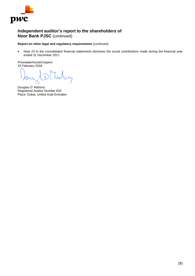

#### **Report on other legal and regulatory requirements** (continued)

• Note 23 to the consolidated financial statements discloses the social contributions made during the financial year ended 31 December 2017.

PricewaterhouseCoopers 15 February 2018

ony

Douglas O' Mahony Registered Auditor Number 834 Place: Dubai, United Arab Emirates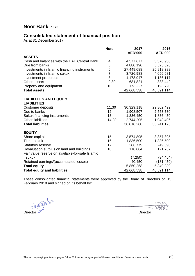# **Consolidated statement of financial position**

As at 31 December 2017

|                                                     | <b>Note</b>    | 2017<br><b>AED'000</b> | 2016<br><b>AED'000</b> |
|-----------------------------------------------------|----------------|------------------------|------------------------|
| <b>ASSETS</b>                                       |                |                        |                        |
| Cash and balances with the UAE Central Bank         | 4              | 4,577,677              | 3,376,938              |
| Due from banks                                      | 5              | 4,880,190              | 5,525,828              |
| Investments in Islamic financing instruments        | 6              | 27,449,688             | 25,918,388             |
| Investments in Islamic sukuk                        | $\overline{7}$ | 3,726,988              | 4,056,681              |
| Investment properties                               | 8              | 1,178,947              | 1,186,117              |
| Other assets                                        | 9,30           | 681,821                | 333,442                |
| Property and equipment                              | 10             | 173,227                | 193,720                |
| <b>Total assets</b>                                 |                | 42,668,538             | 40,591,114             |
|                                                     |                |                        |                        |
| <b>LIABILITIES AND EQUITY</b><br><b>LIABILITIES</b> |                |                        |                        |
| <b>Customer deposits</b>                            | 11,30          | 30,329,118             | 29,802,499             |
| Due to banks                                        | 12             | 1,908,507              | 2,553,730              |
| Sukuk financing instruments                         | 13             | 1,836,450              | 1,836,450              |
| <b>Other liabilities</b>                            | 14,30          | 2,744,205              | 1,048,496              |
| <b>Total liabilities</b>                            |                | 36,818,280             | 35,241,175             |
| <b>EQUITY</b>                                       |                |                        |                        |
| Share capital                                       | 15             | 3,574,895              | 3,357,895              |
| Tier 1 sukuk                                        | 16             | 1,836,500              | 1,836,500              |
| <b>Statutory reserve</b>                            | 17             | 286,779                | 249,690                |
| Revaluation surplus on land and buildings           | 10             | 118,884                | 121,767                |
| Fair value reserve on available-for-sale Islamic    |                |                        |                        |
| sukuk                                               |                | (7,250)                | (34, 454)              |
| Retained earnings/(accumulated losses)              |                | 40,450                 | (181, 459)             |
| <b>Total equity</b>                                 |                | 5,850,258              | 5,349,939              |
| <b>Total equity and liabilities</b>                 |                | 42,668,538             | 40,591,114             |

These consolidated financial statements were approved by the Board of Directors on 15 February 2018 and signed on its behalf by:

Director  $\vee$  Director

 $M_{\text{max}}$  ,  $M_{\text{max}}$  ,  $M_{\text{max}}$  ,  $M_{\text{max}}$  ,  $M_{\text{max}}$  ,  $M_{\text{max}}$  ,  $M_{\text{max}}$  ,  $M_{\text{max}}$  ,  $M_{\text{max}}$  ,  $M_{\text{max}}$  ,  $M_{\text{max}}$  ,  $M_{\text{max}}$  ,  $M_{\text{max}}$  ,  $M_{\text{max}}$  ,  $M_{\text{max}}$  ,  $M_{\text{max}}$  ,  $M_{\text{max}}$  ,  $M_{\text{max}}$  ,  $M_{\text$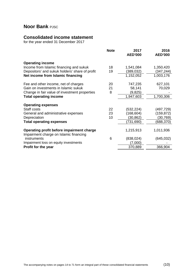# **Consolidated income statement**

| <b>Note</b> | 2017<br><b>AED'000</b> | 2016<br><b>AED'000</b> |
|-------------|------------------------|------------------------|
|             |                        |                        |
| 18          | 1,541,084              | 1,350,420              |
| 19          | (389,032)              | (347,244)              |
|             | 1,152,052              | 1,003,176              |
| 20          | 747,235                | 627,101                |
| 21          | 58,141                 | 70,029                 |
| 8           | (9,825)                |                        |
|             | 1,947,603              | 1,700,306              |
|             |                        |                        |
| 22          | (532,224)              | (497,729)              |
| 23          | (168, 604)             | (159, 872)             |
| 10          | (30,862)               | (30, 769)              |
|             | (731,690)              | (688, 370)             |
|             | 1,215,913              | 1,011,936              |
| 6           | (838, 024)             | (645, 032)             |
|             | (7,000)                |                        |
|             | 370,889                | 366,904                |
|             |                        |                        |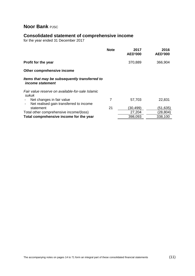# **Consolidated statement of comprehensive income**

|                                                                          | <b>Note</b> | 2017<br><b>AED'000</b> | 2016<br><b>AED'000</b> |
|--------------------------------------------------------------------------|-------------|------------------------|------------------------|
| Profit for the year                                                      |             | 370,889                | 366,904                |
| Other comprehensive income                                               |             |                        |                        |
| Items that may be subsequently transferred to<br><i>income statement</i> |             |                        |                        |
| Fair value reserve on available-for-sale Islamic<br>sukuk                |             |                        |                        |
| Net changes in fair value<br>Net realised gain transferred to income     | 7           | 57,703                 | 22,831                 |
| statement                                                                | 21          | (30, 499)              | (51,635)               |
| Total other comprehensive income/(loss)                                  |             | 27,204                 | (28,804)               |
| Total comprehensive income for the year                                  |             | 398,093                | 338,100                |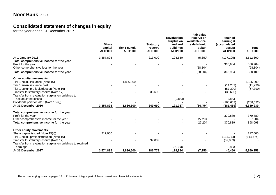# **Consolidated statement of changes in equity**

|                                                            | <b>Share</b><br>capital<br><b>AED'000</b> | Tier 1 sukuk<br><b>AED'000</b> | <b>Statutory</b><br>reserve<br><b>AED'000</b> | <b>Revaluation</b><br>surplus on<br>land and<br>buildings<br><b>AED'000</b> | <b>Fair value</b><br>reserve on<br>available- for-<br>sale Islamic<br>sukuk<br><b>AED'000</b> | <b>Retained</b><br>earnings/<br>(accumulated<br>losses)<br><b>AED'000</b> | <b>Total</b><br><b>AED'000</b> |
|------------------------------------------------------------|-------------------------------------------|--------------------------------|-----------------------------------------------|-----------------------------------------------------------------------------|-----------------------------------------------------------------------------------------------|---------------------------------------------------------------------------|--------------------------------|
| At 1 January 2016                                          | 3,357,895                                 |                                | 213,000                                       | 124,650                                                                     | (5,650)                                                                                       | (177, 295)                                                                | 3,512,600                      |
| Total comprehensive income for the year                    |                                           |                                |                                               |                                                                             |                                                                                               |                                                                           |                                |
| Profit for the year                                        |                                           |                                |                                               |                                                                             |                                                                                               | 366,904                                                                   | 366,904                        |
| Other comprehensive loss for the year                      |                                           |                                |                                               |                                                                             | (28, 804)                                                                                     |                                                                           | (28, 804)                      |
| Total comprehensive income for the year                    |                                           |                                |                                               |                                                                             | (28, 804)                                                                                     | 366,904                                                                   | 338,100                        |
| Other equity movements                                     |                                           |                                |                                               |                                                                             |                                                                                               |                                                                           |                                |
| Tier 1 sukuk issuance (Note 16)                            |                                           | 1,836,500                      |                                               |                                                                             |                                                                                               |                                                                           | 1,836,500                      |
| Tier 1 sukuk issuance cost                                 |                                           |                                |                                               |                                                                             |                                                                                               | (11, 239)                                                                 | (11,239)                       |
| Tier 1 sukuk profit distribution (Note 16)                 |                                           |                                |                                               |                                                                             |                                                                                               | (57, 390)                                                                 | (57, 390)                      |
| Transfer to statutory reserve (Note 17)                    |                                           |                                | 36,690                                        |                                                                             |                                                                                               | (36, 690)                                                                 |                                |
| Transfer from revaluation surplus on buildings to          |                                           |                                |                                               |                                                                             |                                                                                               |                                                                           |                                |
| accumulated losses                                         |                                           |                                |                                               | (2,883)                                                                     |                                                                                               | 2,883                                                                     |                                |
| Dividends paid for 2015 (Note 15(iii))                     |                                           |                                |                                               |                                                                             |                                                                                               | (268, 632)                                                                | (268, 632)                     |
| At 31 December 2016                                        | 3,357,895                                 | 1,836,500                      | 249,690                                       | 121,767                                                                     | (34, 454)                                                                                     | (181, 459)                                                                | 5,349,939                      |
| Total comprehensive income for the year                    |                                           |                                |                                               |                                                                             |                                                                                               |                                                                           |                                |
| Profit for the year                                        |                                           |                                |                                               |                                                                             |                                                                                               | 370,889                                                                   | 370,889                        |
| Other comprehensive income for the year                    |                                           |                                |                                               |                                                                             | 27,204                                                                                        |                                                                           | 27,204                         |
| Total comprehensive income for the year                    |                                           |                                |                                               |                                                                             | 27,204                                                                                        | 370,889                                                                   | 398,093                        |
| Other equity movements                                     |                                           |                                |                                               |                                                                             |                                                                                               |                                                                           |                                |
| Share capital issued (Note 15(ii))                         | 217,000                                   |                                |                                               |                                                                             |                                                                                               |                                                                           | 217,000                        |
| Tier 1 sukuk profit distribution (Note 16)                 |                                           |                                |                                               |                                                                             |                                                                                               | (114, 774)                                                                | (114, 774)                     |
| Transfer to statutory reserve (Note 17)                    |                                           |                                | 37,089                                        |                                                                             |                                                                                               | (37,089)                                                                  |                                |
| Transfer from revaluation surplus on buildings to retained |                                           |                                |                                               |                                                                             |                                                                                               |                                                                           |                                |
| earnings                                                   |                                           |                                |                                               | (2,883)                                                                     |                                                                                               | 2,883                                                                     |                                |
| At 31 December 2017                                        | 3,574,895                                 | 1,836,500                      | 286,779                                       | 118,884                                                                     | (7, 250)                                                                                      | 40,450                                                                    | 5,850,258                      |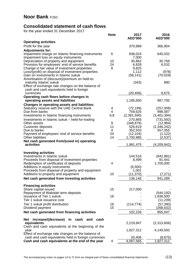# **Consolidated statement of cash flows**

|                                                                                                    | <b>Note</b> | 2017<br><b>AED'000</b> | 2016<br><b>AED'000</b> |
|----------------------------------------------------------------------------------------------------|-------------|------------------------|------------------------|
| <b>Operating activities</b>                                                                        |             |                        |                        |
| Profit for the year                                                                                |             | 370,889                | 366,904                |
| <b>Adjustments for:</b>                                                                            |             |                        |                        |
| Impairment charge on Islamic financing instruments                                                 | 6           | 838,024                | 645,032                |
| Impairment loss on equity instruments                                                              | 10          | 7,000                  |                        |
| Depreciation of property and equipment<br>Provision for employees' end of service benefits         | 24          | 30,862<br>6,828        | 30,769<br>6,532        |
| Change in fair value of investment properties                                                      | 8           | 9,825                  |                        |
| Loss/(profit) on disposal of investment properties                                                 |             | 1,112                  | (978)                  |
| Gain on investments in Islamic sukuk                                                               |             | (58, 141)              | (70, 029)              |
| Amortisation of (discount)/premium on held-to-                                                     |             |                        |                        |
| maturity Islamic sukuk<br>Effect of exchange rate changes on the balance of                        |             | (343)                  | 890                    |
| cash and cash equivalents held in foreign                                                          |             |                        |                        |
| currencies                                                                                         |             | (20,406)               | 8,675                  |
| Operating cash flows before changes in                                                             |             |                        |                        |
| operating assets and liabilities                                                                   |             | 1,185,650              | 987,795                |
| <b>Changes in operating assets and liabilities:</b><br>Statutory reserve with the UAE Central Bank | 4           | (72, 199)              | (257,008)              |
| Due from banks                                                                                     | 4           | 759,625                | 998,087                |
| Investments in Islamic financing instruments                                                       | 6,8         | (2,381,590)            | (3,401,394)            |
| Investments in Islamic sukuk – held-for-trading                                                    |             | 270,865                | (731, 592)             |
| Other assets                                                                                       | 9           | (348, 879)             | (12, 984)              |
| Customer deposits                                                                                  | 11          | 526,619                | (2,346,242)            |
| Due to banks<br>Payment of employees' end of service benefits                                      | 4<br>24     | 352,503<br>(12, 104)   | 557,055<br>(1, 122)    |
| <b>Other liabilities</b>                                                                           | 14          | 1,700,985              | (2,537)                |
| Net cash generated from/(used in) operating                                                        |             |                        |                        |
| activities                                                                                         |             | 1,981,475              | (4,209,942)            |
| <b>Investing activities</b>                                                                        |             |                        |                        |
| Investments in Islamic sukuk                                                                       |             | 144,516                | (842, 881)             |
| Proceeds from disposal of investment properties                                                    |             | 8,499                  | 91,441                 |
| Redemption of certificates of deposits                                                             | 4           |                        | 1,700,000              |
| Additions in equity instruments<br>Proceeds from disposal of property and equipment                |             | (6,500)<br>1,001       |                        |
| Additions to property and equipment                                                                | 10          | (11, 370)              | (7, 271)               |
| Net cash generated from investing activities                                                       |             | 136,146                | 941,289                |
|                                                                                                    |             |                        |                        |
| <b>Financing activities</b><br>Share capital issued                                                | 15          | 217,000                |                        |
| Repayment of Wakalah term deposits                                                                 |             |                        | (544, 192)             |
| <b>Issuance of Tier 1 sukuk</b>                                                                    | 16          |                        | 1,836,500              |
| Tier 1 sukuk issuance cost                                                                         |             |                        | (11, 239)              |
| Tier 1 sukuk profit distribution                                                                   | 16          | (114, 774)             | (57, 390)              |
| Dividend payment                                                                                   | 15          |                        | (268,632)              |
| Net cash generated from financing activities                                                       |             | 102,226                | 955,047                |
| increase/(decrease)<br>in cash<br>and<br>cash<br>Net                                               |             |                        |                        |
| equivalents                                                                                        |             | 2,219,847              | (2,313,606)            |
| Cash and cash equivalents at the beginning of the                                                  |             | 1,827,312              | 4,149,593              |
| year<br>Effect of exchange rate changes on the balance of                                          |             |                        |                        |
| cash and cash equivalents held in foreign currencies                                               |             | 20,406                 | (8,675)                |
| Cash and cash equivalents at the end of the year                                                   | 4           | 4,067,565              | 1,827,312              |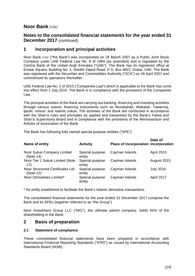# **Notes to the consolidated financial statements for the year ended 31 December 2017** (continued)

# **1 Incorporation and principal activities**

Noor Bank PJSC ("the Bank") was incorporated on 26 March 2007 as a Public Joint Stock Company under UAE Federal Law No. 8 of 1984 (as amended) and is regulated by the Central Bank of the United Arab Emirates ("UAE"). The Bank has its registered office at Emaar Square, Building No. 1, Sheikh Zayed Road, P.O. Box 8822, Dubai, UAE. The Bank was registered with the Securities and Commodities Authority ("SCA") on 26 April 2007 and commenced its operations thereafter.

UAE Federal Law No. 2 of 2015 ("Companies Law") which is applicable to the Bank has come into effect from 1 July 2015. The Bank is in compliance with the provisions of the Companies Law.

The principal activities of the Bank are carrying out banking, financing and investing activities through various Islamic financing instruments such as Murabahah, Wakalah, Tawarruq, Ijarah, Istisna' and Islamic sukuk. The activities of the Bank are conducted in accordance with the Shari'a rules and principles as applied and interpreted by the Bank's Fatwa and Shari'a Supervisory Board and in compliance with the provisions of the Memorandum and Articles of Association of the Bank.

The Bank has following fully owned special purpose entities ("SPE"):

| <b>Activity</b>           | Place of incorporation incorporation | Date of           |
|---------------------------|--------------------------------------|-------------------|
| Special purpose<br>entity | Cayman Islands                       | <b>April 2015</b> |
| Special purpose<br>entity | Cayman Islands                       | August 2015       |
| Special purpose<br>entity | Cayman Islands                       | <b>July 2016</b>  |
| Special purpose<br>entity | Cayman Islands                       | April 2017        |
|                           |                                      |                   |

\* An entity established to facilitate the Bank's Islamic derivative transactions.

The consolidated financial statements for the year ended 31 December 2017 comprise the Bank and its SPEs (together referred to as "the Group").

Noor Investment Group LLC ("NIG"), the ultimate parent company, holds 91% of the shareholding in the Bank.

### **2 Basis of preparation**

### **2.1 Statement of compliance**

These consolidated financial statements have been prepared in accordance with International Financial Reporting Standards ("IFRS") as issued by International Accounting Standards Board (IASB).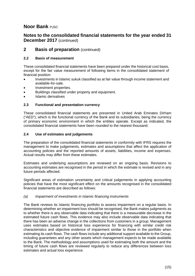# **Notes to the consolidated financial statements for the year ended 31 December 2017** (continued)

### **2 Basis of preparation** (continued)

### **2.2 Basis of measurement**

These consolidated financial statements have been prepared under the historical cost basis, except for the fair value measurement of following items in the consolidated statement of financial position:

- Investments in Islamic sukuk classified as at fair value through income statement and available-for-sale.
- Investment properties.
- Buildings classified under property and equipment.
- Islamic derivatives

### **2.3 Functional and presentation currency**

These consolidated financial statements are presented in United Arab Emirates Dirham ("AED"), which is the functional currency of the Bank and its subsidiaries, being the currency of primary economic environment in which the entities operate. Except as indicated, the consolidated financial statements have been rounded to the nearest thousand.

### **2.4 Use of estimates and judgements**

The preparation of the consolidated financial statements in conformity with IFRS requires the management to make judgements, estimates and assumptions that affect the application of accounting policies and the reported amounts of assets, liabilities, income and expenses. Actual results may differ from these estimates.

Estimates and underlying assumptions are reviewed on an ongoing basis. Revisions to accounting estimates are recognised in the period in which the estimate is revised and in any future periods affected.

Significant areas of estimation uncertainty and critical judgements in applying accounting policies that have the most significant effect on the amounts recognised in the consolidated financial statements are described as follows:

### *(a) Impairment of investments in Islamic financing instruments*

The Bank reviews its Islamic financing portfolio to assess impairment on a regular basis. In determining whether an impairment loss should be recognised, the Bank makes judgments as to whether there is any observable data indicating that there is a measurable decrease in the estimated future cash flows. This evidence may also include observable data indicating that there has been an adverse change in the collections from customers in a group. Management uses estimates based on historical loss experience for financing with similar credit risk characteristics and objective evidence of impairment similar to those in the portfolio when estimating its cash flows. The cash flows include any additional support available to the Group, including guarantees and any other assets which management expects to be made available to the Bank. The methodology and assumptions used for estimating both the amount and the timing of future cash flows are reviewed regularly to reduce any differences between loss estimates and actual loss experience.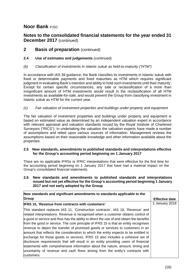# **Notes to the consolidated financial statements for the year ended 31 December 2017** (continued)

### **2 Basis of preparation** (continued)

### **2.4 Use of estimates and judgements** (continued)

*(b) Classification of investments in Islamic sukuk as held-to-maturity ("HTM")*

In accordance with IAS 39 guidance, the Bank classifies its investments in Islamic sukuk with fixed or determinable payments and fixed maturities as HTM which requires significant judgment in evaluating Bank's intention and ability to hold such investments until their maturity. Except for certain specific circumstances, any sale or reclassification of a more than insignificant amount of HTM investments would result in the reclassification of all HTM investments as available-for-sale, and would prevent the Group from classifying investment in Islamic sukuk as HTM for the current year.

### *(c) Fair valuation of investment properties and buildings under property and equipment*

The fair valuation of investment properties and buildings under property and equipment is based on estimated value as determined by an independent valuation expert in accordance with relevant appraisal and valuation standards issued by the Royal Institute of Chartered Surveyors ("RICS"). In undertaking the valuation the valuation experts have made a number of assumptions and relied upon various sources of information. Management reviews the assumptions based on their reasonable knowledge and other information available about the properties.

### **2.5 New standards, amendments to published standards and interpretations effective for the Group's accounting period beginning on 1 January 2017**

There are no applicable IFRSs or IFRIC interpretations that were effective for the first time for the accounting period beginning on 1 January 2017 that have had a material impact on the Group's consolidated financial statements.

#### **2.6 New standards and amendments to published standards and interpretations issued but not yet effective for the Group's accounting period beginning 1 January 2017 and not early adopted by the Group**

| New standards and significant amendments to standards applicable to the                                                                                                                                                                                                                                                                                                                                                                                                                                                                                                                                                                                                                                                                                                                                                                                                                    |                       |
|--------------------------------------------------------------------------------------------------------------------------------------------------------------------------------------------------------------------------------------------------------------------------------------------------------------------------------------------------------------------------------------------------------------------------------------------------------------------------------------------------------------------------------------------------------------------------------------------------------------------------------------------------------------------------------------------------------------------------------------------------------------------------------------------------------------------------------------------------------------------------------------------|-----------------------|
| <b>Group</b>                                                                                                                                                                                                                                                                                                                                                                                                                                                                                                                                                                                                                                                                                                                                                                                                                                                                               | <b>Effective date</b> |
| <b>IFRS 15, 'Revenue from contracts with customers'</b>                                                                                                                                                                                                                                                                                                                                                                                                                                                                                                                                                                                                                                                                                                                                                                                                                                    | 1 January 2018        |
| This standard replaces IAS 11, 'Construction contracts', IAS 18, 'Revenue' and<br>related interpretations. Revenue is recognised when a customer obtains control of<br>a good or service and thus has the ability to direct the use of and obtain the benefits<br>from the good or service. The core principle of IFRS 15 is that an entity recognises<br>revenue to depict the transfer of promised goods or services to customers in an<br>amount that reflects the consideration to which the entity expects to be entitled in<br>exchange for those goods or services. IFRS 15 also includes a cohesive set of<br>disclosure requirements that will result in an entity providing users of financial<br>statements with comprehensive information about the nature, amount, timing and<br>uncertainty of revenue and cash flows arising from the entity's contracts with<br>customers. |                       |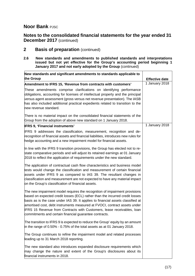# **Notes to the consolidated financial statements for the year ended 31 December 2017** (continued)

### **2 Basis of preparation** (continued)

**2.6 New standards and amendments to published standards and interpretations issued but not yet effective for the Group's accounting period beginning 1 January 2017 and not early adopted by the Group** (continued)

| New standards and significant amendments to standards applicable to                                                                                                                                                                                                                                                                                                                                                                                            |                       |
|----------------------------------------------------------------------------------------------------------------------------------------------------------------------------------------------------------------------------------------------------------------------------------------------------------------------------------------------------------------------------------------------------------------------------------------------------------------|-----------------------|
| the Group                                                                                                                                                                                                                                                                                                                                                                                                                                                      | <b>Effective date</b> |
| Amendment to IFRS 15, 'Revenue from contracts with customers'                                                                                                                                                                                                                                                                                                                                                                                                  | 1 January 2018        |
| These amendments comprise clarifications on identifying performance<br>obligations, accounting for licenses of intellectual property and the principal<br>versus agent assessment (gross versus net revenue presentation). The IASB<br>has also included additional practical expedients related to transition to the<br>new revenue standard.                                                                                                                 |                       |
| There is no material impact on the consolidated financial statements of the<br>Group from the adoption of above new standard on 1 January 2018.                                                                                                                                                                                                                                                                                                                |                       |
| <b>IFRS 9, 'Financial instruments'</b>                                                                                                                                                                                                                                                                                                                                                                                                                         | 1 January 2018        |
| IFRS 9 addresses the classification, measurement, recognition and de-<br>recognition of financial assets and financial liabilities, introduces new rules for<br>hedge accounting and a new impairment model for financial assets.                                                                                                                                                                                                                              |                       |
| In line with the IFRS 9 transition provisions, the Group has elected not to re-<br>state comparative periods and will adjust its retained earnings at 01 January<br>2018 to reflect the application of requirements under the new standard.                                                                                                                                                                                                                    |                       |
| The application of contractual cash flow characteristics and business model<br>tests would change the classification and measurement of certain financial<br>assets under IFRS 9 as compared to IAS 39. The resultant changes in<br>classification and measurement are not expected to have any material impact<br>on the Group's classification of financial assets.                                                                                          |                       |
| The new impairment model requires the recognition of impairment provisions<br>based on expected credit losses (ECL) rather than the incurred credit losses<br>basis as is the case under IAS 39. It applies to financial assets classified at<br>amortised cost, debt instruments measured at FVOCI, contract assets under<br>IFRS 15 Revenue from Contracts with Customers, lease receivables, loan<br>commitments and certain financial guarantee contracts. |                       |
| The transition to IFRS 9 is expected to reduce the Group' equity by an amount<br>in the range of 0.50% - 0.75% of the total assets as at 01 January 2018.                                                                                                                                                                                                                                                                                                      |                       |
| The Group continues to refine the impairment model and related processes<br>leading up to 31 March 2018 reporting.                                                                                                                                                                                                                                                                                                                                             |                       |
| The new standard also introduces expanded disclosure requirements which<br>may change the nature and extent of the Group's disclosures about its<br>financial instruments in 2018.                                                                                                                                                                                                                                                                             |                       |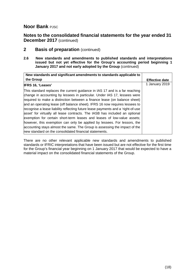# **Notes to the consolidated financial statements for the year ended 31 December 2017** (continued)

### **2 Basis of preparation** (continued)

**2.6 New standards and amendments to published standards and interpretations issued but not yet effective for the Group's accounting period beginning 1 January 2017 and not early adopted by the Group** (continued)

| New standards and significant amendments to standards applicable to                                                                                                                                                                                                                                                                                                                                                                                                                                                                                                                                                                                                                                                                                                                    |                       |
|----------------------------------------------------------------------------------------------------------------------------------------------------------------------------------------------------------------------------------------------------------------------------------------------------------------------------------------------------------------------------------------------------------------------------------------------------------------------------------------------------------------------------------------------------------------------------------------------------------------------------------------------------------------------------------------------------------------------------------------------------------------------------------------|-----------------------|
| the Group                                                                                                                                                                                                                                                                                                                                                                                                                                                                                                                                                                                                                                                                                                                                                                              | <b>Effective date</b> |
| <b>IFRS 16, 'Leases'</b>                                                                                                                                                                                                                                                                                                                                                                                                                                                                                                                                                                                                                                                                                                                                                               | 1 January 2019        |
| This standard replaces the current guidance in IAS 17 and is a far reaching<br>change in accounting by lessees in particular. Under IAS 17, lessees were<br>required to make a distinction between a finance lease (on balance sheet)<br>and an operating lease (off balance sheet). IFRS 16 now requires lessees to<br>recognise a lease liability reflecting future lease payments and a 'right-of-use<br>asset' for virtually all lease contracts. The IASB has included an optional<br>exemption for certain short-term leases and leases of low-value assets;<br>however, this exemption can only be applied by lessees. For lessors, the<br>accounting stays almost the same. The Group is assessing the impact of the<br>hew standard on the consolidated financial statements. |                       |

There are no other relevant applicable new standards and amendments to published standards or IFRIC interpretations that have been issued but are not effective for the first time for the Group's financial year beginning on 1 January 2017 that would be expected to have a material impact on the consolidated financial statements of the Group.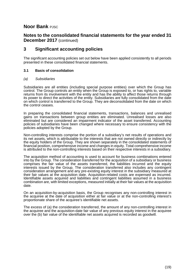### **Notes to the consolidated financial statements for the year ended 31 December 2017** (continued)

# **3 Significant accounting policies**

The significant accounting policies set out below have been applied consistently to all periods presented in these consolidated financial statements.

### **3.1 Basis of consolidation**

#### *(a) Subsidiaries*

Subsidiaries are all entities (including special purpose entities) over which the Group has control. The Group controls an entity when the Group is exposed to, or has rights to, variable returns from its involvement with the entity and has the ability to affect those returns through its power to direct the activities of the entity. Subsidiaries are fully consolidated from the date on which control is transferred to the Group. They are deconsolidated from the date on which the control ceases.

In preparing the consolidated financial statements, transactions, balances and unrealised gains on transactions between group entities are eliminated. Unrealised losses are also eliminated but are considered an impairment indicator of the asset transferred. Accounting policies of subsidiaries have been changed where necessary to ensure consistency with the policies adopted by the Group.

Non-controlling interests comprise the portion of a subsidiary's net results of operations and its net assets, which is attributable to the interests that are not owned directly or indirectly by the equity holders of the Group. They are shown separately in the consolidated statements of financial position, comprehensive income and changes in equity. Total comprehensive income is attributed to the non-controlling interests based on their respective interests in a subsidiary.

The acquisition method of accounting is used to account for business combinations entered into by the Group. The consideration transferred for the acquisition of a subsidiary or business comprises the fair value of the assets transferred, the liabilities incurred and the equity interests issued by the Group. The consideration transferred also includes any contingent consideration arrangement and any pre-existing equity interest in the subsidiary measured at their fair values at the acquisition date. Acquisition-related costs are expensed as incurred. Identifiable assets acquired and liabilities and contingent liabilities assumed in a business combination are, with limited exceptions, measured initially at their fair values at the acquisition date.

On an acquisition-by-acquisition basis, the Group recognises any non-controlling interest in the acquiree at the date of acquisition either at fair value or at the non-controlling interest's proportionate share of the acquiree's identifiable net assets.

The excess of (a) the consideration transferred, the amount of any non-controlling interest in the acquiree and the acquisition-date fair value of any previous equity interest in the acquiree over the (b) fair value of the identifiable net assets acquired is recorded as goodwill.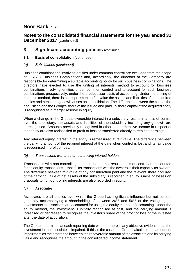# **Notes to the consolidated financial statements for the year ended 31 December 2017** (continued)

### **3 Significant accounting policies** (continued)

- **3.1 Basis of consolidation** (continued)
- *(a) Subsidiaries (continued)*

Business combinations involving entities under common control are excluded from the scope of IFRS 3, Business Combinations and, accordingly, the directors of the Company are responsible for determining a suitable accounting policy for such business combinations. The directors have elected to use the uniting of interests method to account for business combinations involving entities under common control and to account for such business combinations prospectively, under the predecessor basis of accounting. Under the uniting of interests method, there is no requirement to fair value the assets and liabilities of the acquired entities and hence no goodwill arises on consolidation. The difference between the cost of the acquisition and the Group's share of the issued and paid up share capital of the acquired entity is recognised as a merger reserve in equity.

When a change in the Group's ownership interest in a subsidiary results in a loss of control over the subsidiary, the assets and liabilities of the subsidiary including any goodwill are derecognised. Amounts previously recognised in other comprehensive income in respect of that entity are also reclassified to profit or loss or transferred directly to retained earnings.

Any retained equity interest in the entity is remeasured at fair value. The difference between the carrying amount of the retained interest at the date when control is lost and its fair value is recognised in profit or loss.

### *(b) Transactions with the non-controlling interest holders*

Transactions with non-controlling interests that do not result in loss of control are accounted for as equity transactions – that is, as transactions with the owners in their capacity as owners. The difference between fair value of any consideration paid and the relevant share acquired of the carrying value of net assets of the subsidiary is recorded in equity. Gains or losses on disposals to non-controlling interests are also recorded in equity.

### *(c) Associates*

Associates are all entities over which the Group has significant influence but not control, generally accompanying a shareholding of between 20% and 50% of the voting rights. Investments in associates are accounted for using the equity method of accounting. Under the equity method, the investment is initially recognised at cost, and the carrying amount is increased or decreased to recognise the investor's share of the profit or loss of the investee after the date of acquisition.

The Group determines at each reporting date whether there is any objective evidence that the investment in the associate is impaired. If this is the case, the Group calculates the amount of impairment as the difference between the recoverable amount of the associate and its carrying value and recognises the amount in the consolidated income statement.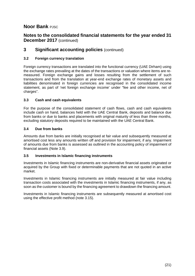# **Notes to the consolidated financial statements for the year ended 31 December 2017** (continued)

# **3 Significant accounting policies** (continued)

### **3.2 Foreign currency translation**

Foreign currency transactions are translated into the functional currency (UAE Dirham) using the exchange rates prevailing at the dates of the transactions or valuation where items are remeasured. Foreign exchange gains and losses resulting from the settlement of such transactions and from the translation at year-end exchange rates of monetary assets and liabilities denominated in foreign currencies are recognised in the consolidated income statement, as part of 'net foreign exchange income' under "fee and other income, net of charges".

### **3.3 Cash and cash equivalents**

For the purpose of the consolidated statement of cash flows, cash and cash equivalents include cash on hand, balances held with the UAE Central Bank, deposits and balance due from banks or due to banks and placements with original maturity of less than three months, excluding statutory deposits required to be maintained with the UAE Central Bank.

### **3.4 Due from banks**

Amounts due from banks are initially recognised at fair value and subsequently measured at amortised cost less any amounts written off and provision for impairment, if any. Impairment of amounts due from banks is assessed as outlined in the accounting policy of impairment of financial assets (Note 3.9).

### **3.5 Investments in Islamic financing instruments**

Investments in Islamic financing instruments are non-derivative financial assets originated or acquired by the Group with fixed or determinable payments that are not quoted in an active market.

Investments in Islamic financing instruments are initially measured at fair value including transaction costs associated with the investments in Islamic financing instruments, if any, as soon as the customer is bound by the financing agreement to drawdown the financing amount.

Investments in Islamic financing instruments are subsequently measured at amortised cost using the effective profit method (note 3.15).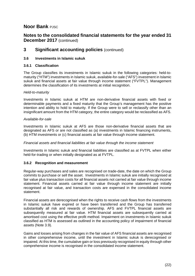# **Notes to the consolidated financial statements for the year ended 31 December 2017** (continued)

### **3 Significant accounting policies** (continued)

### **3.6 Investments in Islamic sukuk**

### **3.6.1 Classification**

The Group classifies its investments in Islamic sukuk in the following categories: held-tomaturity ("HTM") investments in Islamic sukuk, available-for-sale ("AFS") investment in Islamic sukuk and financial assets at fair value through income statement ("FVTPL"). Management determines the classification of its investments at initial recognition.

#### *Held-to-maturity*

Investments in Islamic sukuk at HTM are non-derivative financial assets with fixed or determinable payments and a fixed maturity that the Group's management has the positive intention and ability to hold to maturity. If the Group were to sell or reclassify other than an insignificant amount from the HTM category, the entire category would be reclassified as AFS.

#### *Available-for-sale*

Investments in Islamic sukuk at AFS are those non-derivative financial assets that are designated as AFS or are not classified as (a) investments in Islamic financing instruments, (b) HTM investments or (c) financial assets at fair value through income statement.

### *Financial assets and financial liabilities at fair value through the income statement*

Investments in Islamic sukuk and financial liabilities are classified as at FVTPL when either held-for-trading or when initially designated as at FVTPL.

### **3.6.2 Recognition and measurement**

Regular-way purchases and sales are recognised on trade-date, the date on which the Group commits to purchase or sell the asset. Investments in Islamic sukuk are initially recognised at fair value plus transaction costs for all financial assets not carried at fair value through income statement. Financial assets carried at fair value through income statement are initially recognised at fair value, and transaction costs are expensed in the consolidated income statement.

Financial assets are derecognised when the rights to receive cash flows from the investments in Islamic sukuk have expired or have been transferred and the Group has transferred substantially all risk and rewards of ownership. AFS and FVTPL financial assets are subsequently measured at fair value. HTM financial assets are subsequently carried at amortised cost using the effective profit method. Impairment on investments in Islamic sukuk classified as HTM is assessed as outlined in the accounting policy of impairment of financial assets (Note 3.9).

Gains and losses arising from changes in the fair value of AFS financial assets are recognised in other comprehensive income, until the investment in Islamic sukuk is derecognised or impaired. At this time, the cumulative gain or loss previously recognised in equity through other comprehensive income is recognised in the consolidated income statement.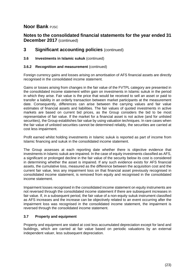# **Notes to the consolidated financial statements for the year ended 31 December 2017** (continued)

### **3 Significant accounting policies** (continued)

### **3.6 Investments in Islamic sukuk** (continued)

### **3.6.2 Recognition and measurement** (continued)

Foreign currency gains and losses arising on amortisation of AFS financial assets are directly recognised in the consolidated income statement.

Gains or losses arising from changes in the fair value of the FVTPL category are presented in the consolidated income statement within gain on investments in Islamic sukuk in the period in which they arise. Fair value is the price that would be received to sell an asset or paid to transfer a liability in an orderly transaction between market participants at the measurement date. Consequently, differences can arise between the carrying values and fair value estimates of financial assets and liabilities. The fair values of quoted investments in active markets are based on current bid prices, as the Group considers the bid to be most representative of fair value. If the market for a financial asset is not active (and for unlisted securities), the Group establishes fair value by using valuation techniques. In rare cases when the fair value of unlisted securities cannot be determined reliably, the securities are carried at cost less impairment.

Profit earned whilst holding investments in Islamic sukuk is reported as part of income from Islamic financing and sukuk in the consolidated income statement.

The Group assesses at each reporting date whether there is objective evidence that investments in Islamic sukuk are impaired. In the case of equity investments classified as AFS, a significant or prolonged decline in the fair value of the security below its cost is considered in determining whether the asset is impaired. If any such evidence exists for AFS financial assets, the cumulative loss, measured as the difference between the acquisition cost and the current fair value, less any impairment loss on that financial asset previously recognised in consolidated income statement, is removed from equity and recognised in the consolidated income statement.

Impairment losses recognised in the consolidated income statement on equity instruments are not reversed through the consolidated income statement if there are subsequent increases in fair value. If, in a subsequent period, the fair value of a non-equity sukuk instrument classified as AFS increases and the increase can be objectively related to an event occurring after the impairment loss was recognised in the consolidated income statement, the impairment is reversed through the consolidated income statement.

### **3.7 Property and equipment**

Property and equipment are stated at cost less accumulated depreciation except for land and buildings, which are carried at fair value based on periodic valuations by an external independent valuer, less subsequent depreciation.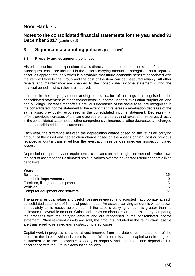# **Notes to the consolidated financial statements for the year ended 31 December 2017** (continued)

### **3 Significant accounting policies** (continued)

### **3.7 Property and equipment** (continued)

Historical cost includes expenditure that is directly attributable to the acquisition of the items. Subsequent costs are included in the asset's carrying amount or recognised as a separate asset, as appropriate, only when it is probable that future economic benefits associated with the item will flow to the Group and the cost of the item can be measured reliably. All other repairs and maintenance are charged to the consolidated income statement during the financial period in which they are incurred.

Increase in the carrying amount arising on revaluation of buildings is recognised in the consolidated statement of other comprehensive income under 'Revaluation surplus on land and buildings'. Increase that offsets previous decreases of the same asset are recognised in the consolidated income statement to the extent that it reverses a revaluation decrease of the same asset previously recognised in the consolidated income statement. Decrease that offsets previous increases of the same asset are charged against revaluation reserves directly in the consolidated statement of other comprehensive income; all other decreases are charged to the consolidated income statement.

Each year, the difference between the depreciation charge based on the revalued carrying amount of the asset and depreciation charge based on the asset's original cost or previous revalued amount is transferred from the revaluation reserve to retained earnings/accumulated losses.

Depreciation on property and equipment is calculated on the straight-line method to write down the cost of assets to their estimated residual values over their expected useful economic lives as follows:

| Years                             |       |
|-----------------------------------|-------|
| <b>Buildings</b>                  | 25    |
| Leasehold improvements            | 10    |
| Furniture, fittings and equipment |       |
| <b>Vehicles</b>                   |       |
| Computer equipment and software   | $3-5$ |

The asset's residual values and useful lives are reviewed, and adjusted if appropriate, at each consolidated statement of financial position date. An asset's carrying amount is written down immediately to its recoverable amount if the asset's carrying amount is greater than its estimated recoverable amount. Gains and losses on disposals are determined by comparing the proceeds with the carrying amount and are recognised in the consolidated income statement. When revalued assets are sold, the amounts included in the revaluation reserve are transferred to retained earnings/accumulated losses.

Capital work-in-progress is stated at cost incurred from the date of commencement of the project to the date on which it is commissioned. When commissioned, capital work-in-progress is transferred to the appropriate category of property and equipment and depreciated in accordance with the Group's accounting policies.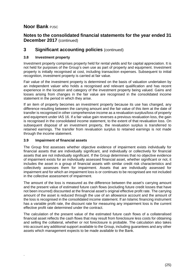# **Notes to the consolidated financial statements for the year ended 31 December 2017** (continued)

# **3 Significant accounting policies** (continued)

### **3.8 Investment property**

Investment property comprises property held for rental yields and for capital appreciation. It is not held for purposes of the Group's own use as part of property and equipment. Investment property is initially recognised at cost, including transaction expenses. Subsequent to initial recognition, investment property is carried at fair value.

Fair value of the investment property is determined on the basis of valuation undertaken by an independent valuer who holds a recognised and relevant qualification and has recent experience in the location and category of the investment property being valued. Gains and losses arising from changes in the fair value are recognised in the consolidated income statement in the period in which they arise.

If an item of property becomes an investment property because its use has changed, any difference resulting between the carrying amount and the fair value of this item at the date of transfer is recognised in other comprehensive income as a revaluation surplus/loss of property and equipment under IAS 16. If a fair value gain reverses a previous revaluation loss, the gain is recognised in the consolidated income statement, to the extent of that revaluation loss. On subsequent disposal of an investment property, the revaluation surplus is transferred to retained earnings. The transfer from revaluation surplus to retained earnings is not made through the income statement.

### **3.9 Impairment of financial assets**

.

The Group first assesses whether objective evidence of impairment exists individually for financial assets that are individually significant, and individually or collectively for financial assets that are not individually significant. If the Group determines that no objective evidence of impairment exists for an individually assessed financial asset, whether significant or not, it includes the asset in a group of financial assets with similar credit risk characteristics and collectively assesses them for impairment. Assets that are individually assessed for impairment and for which an impairment loss is or continues to be recognised are not included in the collective assessment of impairment.

The amount of the loss is measured as the difference between the asset's carrying amount and the present value of estimated future cash flows (excluding future credit losses that have not been incurred) discounted at the financial asset's original effective profit rate. The carrying amount of the asset is reduced through the use of an allowance account and the amount of the loss is recognised in the consolidated income statement. If an Islamic financing instrument has a variable profit rate, the discount rate for measuring any impairment loss is the current effective profit rate determined under the contract.

The calculation of the present value of the estimated future cash flows of a collateralised financial asset reflects the cash flows that may result from foreclosure less costs for obtaining and selling the collateral, whether or not foreclosure is probable. The calculation also takes into account any additional support available to the Group, including guarantees and any other assets which management expects to be made available to the Bank.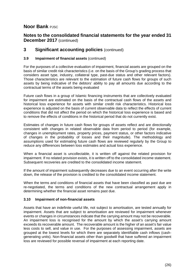# **Notes to the consolidated financial statements for the year ended 31 December 2017** (continued)

### **3 Significant accounting policies** (continued)

### **3.9 Impairment of financial assets** (continued)

For the purposes of a collective evaluation of impairment, financial assets are grouped on the basis of similar credit risk characteristics (i.e. on the basis of the Group's grading process that considers asset type, industry, collateral type, past-due status and other relevant factors). Those characteristics are relevant to the estimation of future cash flows for groups of such assets by being indicative of the debtors' ability to pay all amounts due according to the contractual terms of the assets being evaluated

Future cash flows in a group of Islamic financing instruments that are collectively evaluated for impairment are estimated on the basis of the contractual cash flows of the assets and historical loss experience for assets with similar credit risk characteristics. Historical loss experience is adjusted on the basis of current observable data to reflect the effects of current conditions that did not affect the period on which the historical loss experience is based and to remove the effects of conditions in the historical period that do not currently exist.

Estimates of changes in future cash flows for groups of assets reflect and are directionally consistent with changes in related observable data from period to period (for example, changes in unemployment rates, property prices, payment status, or other factors indicative of changes in the probability of losses and their magnitude). The methodology and assumptions used for estimating future cash flows are reviewed regularly by the Group to reduce any differences between loss estimates and actual loss experience.

When a financial asset is uncollectable, it is written off against the related provision for impairment. If no related provision exists, it is written off to the consolidated income statement. Subsequent recoveries are credited to the consolidated income statement.

If the amount of impairment subsequently decreases due to an event occurring after the write down, the release of the provision is credited to the consolidated income statement.

When the terms and conditions of financial assets that have been classified as past due are re-negotiated, the terms and conditions of the new contractual arrangement apply in determining whether the financial asset remains past due.

### **3.10 Impairment of non-financial assets**

Assets that have an indefinite useful life, not subject to amortisation, are tested annually for impairment. Assets that are subject to amortisation are reviewed for impairment whenever events or changes in circumstances indicate that the carrying amount may not be recoverable. An impairment loss is recognised for the amount by which the asset's carrying amount exceeds its recoverable amount. The recoverable amount is the higher of an asset's fair value less costs to sell, and value in use. For the purposes of assessing impairment, assets are grouped at the lowest levels for which there are separately identifiable cash inflows (cashgenerating units). Non-financial assets other than goodwill that have suffered an impairment loss are reviewed for possible reversal of impairment at each reporting date.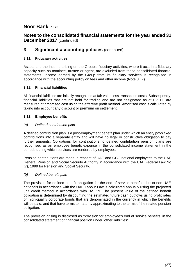# **Notes to the consolidated financial statements for the year ended 31 December 2017** (continued)

# **3 Significant accounting policies** (continued)

### **3.11 Fiduciary activities**

Assets and the income arising on the Group's fiduciary activities, where it acts in a fiduciary capacity such as nominee, trustee or agent, are excluded from these consolidated financial statements. Income earned by the Group from its fiduciary services is recognised in accordance with the accounting policy on fees and other income (Note 3.17).

### **3.12 Financial liabilities**

All financial liabilities are initially recognised at fair value less transaction costs. Subsequently, financial liabilities that are not held for trading and are not designated as at FVTPL are measured at amortised cost using the effective profit method. Amortised cost is calculated by taking into account any discount or premium on settlement.

### **3.13 Employee benefits**

### *(a) Defined contribution plan*

A defined contribution plan is a post-employment benefit plan under which an entity pays fixed contributions into a separate entity and will have no legal or constructive obligation to pay further amounts. Obligations for contributions to defined contribution pension plans are recognised as an employee benefit expense in the consolidated income statement in the periods during which services are rendered by employees.

Pension contributions are made in respect of UAE and GCC national employees to the UAE General Pension and Social Security Authority in accordance with the UAE Federal Law No (7), 1999 for Pension and Social Security.

### *(b) Defined benefit plan*

The provision for defined benefit obligation for the end of service benefits due to non-UAE nationals in accordance with the UAE Labour Law is calculated annually using the projected unit credit method in accordance with IAS 19. The present value of the defined benefit obligation is determined by discounting the estimated future cash outflows using profit rates on high-quality corporate bonds that are denominated in the currency in which the benefits will be paid, and that have terms to maturity approximating to the terms of the related pension obligation.

The provision arising is disclosed as 'provision for employee's end of service benefits' in the consolidated statement of financial position under 'other liabilities'.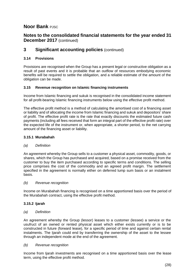# **Notes to the consolidated financial statements for the year ended 31 December 2017** (continued)

# **3 Significant accounting policies** (continued)

### **3.14 Provisions**

Provisions are recognised when the Group has a present legal or constructive obligation as a result of past events and it is probable that an outflow of resources embodying economic benefits will be required to settle the obligation, and a reliable estimate of the amount of the obligation can be made.

### **3.15 Revenue recognition on Islamic financing instruments**

Income from Islamic financing and sukuk is recognised in the consolidated income statement for all profit-bearing Islamic financing instruments below using the effective profit method.

The effective profit method is a method of calculating the amortised cost of a financing asset or liability and of allocating the income from Islamic financing and sukuk and depositors' share of profit. The effective profit rate is the rate that exactly discounts the estimated future cash payments (including all fees received that form an integral part of the effective profit rate) over the expected life of the instrument or, when appropriate, a shorter period, to the net carrying amount of the financing asset or liability.

### **3.15.1 Murabahah**

### *(a) Definition*

An agreement whereby the Group sells to a customer a physical asset, commodity, goods, or shares, which the Group has purchased and acquired, based on a promise received from the customer to buy the item purchased according to specific terms and conditions. The selling price comprises the cost of the commodity and an agreed profit margin. The settlement specified in the agreement is normally either on deferred lump sum basis or an instalment basis.

### *(b) Revenue recognition*

Income on Murabahah financing is recognised on a time apportioned basis over the period of the Murabahah contract, using the effective profit method.

### **3.15.2 Ijarah**

### *(a) Definition*

An agreement whereby the Group (lessor) leases to a customer (lessee) a service or the usufruct of an owned or rented physical asset which either exists currently or is to be constructed in future (forward lease), for a specific period of time and against certain rental instalments. The Ijarah could end by transferring the ownership of the asset to the lessee through an independent mode at the end of the agreement.

### *(b) Revenue recognition*

Income from Ijarah investments are recognised on a time apportioned basis over the lease term, using the effective profit method.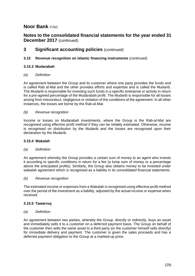# **Notes to the consolidated financial statements for the year ended 31 December 2017** (continued)

### **3 Significant accounting policies** (continued)

### **3.15 Revenue recognition on Islamic financing instruments** (continued)

### **3.15.3 Mudarabah**

### *(a) Definition*

An agreement between the Group and its customer where one party provides the funds and is called Rab al-Mal and the other provides efforts and expertise and is called the Mudarib. The Mudarib is responsible for investing such funds in a specific enterprise or activity in return for a pre-agreed percentage of the Mudarabah profit. The Mudarib is responsible for all losses arising from misconduct, negligence or violation of the conditions of the agreement. In all other instances, the losses are borne by the Rab-al-Mal.

#### *(b) Revenue recognition*

Income or losses on Mudarabah investments, where the Group is the Rab-al-Mal are recognised using effective profit method if they can be reliably estimated. Otherwise, income is recognised on distribution by the Mudarib and the losses are recognised upon their declaration by the Mudarib.

### **3.15.4 Wakalah**

### *(a) Definition*

An agreement whereby the Group provides a certain sum of money to an agent who invests it according to specific conditions in return for a fee (a lump sum of money or a percentage above the anticipated profits). Similarly, the Group also obtains money to be invested under wakalah agreement which is recognised as a liability in its consolidated financial statements.

#### *(b) Revenue recognition*

The estimated income or expenses from a Wakalah is recognised using effective profit method over the period of the investment as a liability, adjusted by the actual income or expense when received.

### **3.15.5 Tawarruq**

### *(a) Definition*

An agreement between two parties, whereby the Group, directly or indirectly, buys an asset and immediately sells it to a customer on a deferred payment basis. The Group on behalf of the customer then sells the same asset to a third party (or the customer himself sells directly) for immediate delivery and payment. The customer is given the sales proceeds and has a deferred payment obligation to the Group at a marked-up price.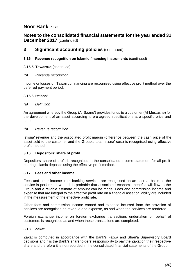# **Notes to the consolidated financial statements for the year ended 31 December 2017** (continued)

### **3 Significant accounting policies** (continued)

### **3.15 Revenue recognition on Islamic financing instruments** (continued)

### **3.15.5 Tawarruq** (continued)

### *(b) Revenue recognition*

Income or losses on Tawarruq financing are recognised using effective profit method over the deferred payment period.

#### **3.15.6 Istisna'**

#### *(a) Definition*

An agreement whereby the Group (Al-Saane') provides funds to a customer (Al-Mustasne) for the development of an asset according to pre-agreed specifications at a specific price and date.

#### *(b) Revenue recognition*

Istisna' revenue and the associated profit margin (difference between the cash price of the asset sold to the customer and the Group's total Istisna' cost) is recognised using effective profit method.

### **3.16 Depositors' share of profit**

Depositors' share of profit is recognised in the consolidated income statement for all profitbearing Islamic deposits using the effective profit method.

### **3.17 Fees and other income**

Fees and other income from banking services are recognised on an accrual basis as the service is performed, when it is probable that associated economic benefits will flow to the Group and a reliable estimate of amount can be made. Fees and commission income and expense that are integral to the effective profit rate on a financial asset or liability are included in the measurement of the effective profit rate.

Other fees and commission income earned and expense incurred from the provision of services are recognised as revenue and expense, as and when the services are rendered.

Foreign exchange income on foreign exchange transactions undertaken on behalf of customers is recognised as and when these transactions are completed.

### **3.18 Zakat**

Zakat is computed in accordance with the Bank's Fatwa and Shari'a Supervisory Board decisions and it is the Bank's shareholders' responsibility to pay the Zakat on their respective share and therefore it is not recorded in the consolidated financial statements of the Group.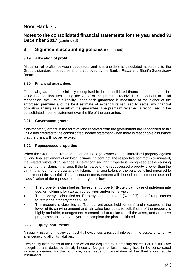# **Notes to the consolidated financial statements for the year ended 31 December 2017** (continued)

# **3 Significant accounting policies** (continued)

### **3.19 Allocation of profit**

Allocation of profits between depositors and shareholders is calculated according to the Group's standard procedures and is approved by the Bank's Fatwa and Shari'a Supervisory Board.

### **3.20 Financial guarantees**

Financial guarantees are initially recognised in the consolidated financial statements at fair value in other liabilities, being the value of the premium received. Subsequent to initial recognition, the Group's liability under each guarantee is measured at the higher of the amortised premium and the best estimate of expenditure required to settle any financial obligation arising as a result of the guarantee. The premium received is recognised in the consolidated income statement over the life of the guarantee.

### **3.21 Government grants**

Non-monetary grants in the form of land received from the government are recognised at fair value and credited to the consolidated income statement when there is reasonable assurance that the grant will not be revoked.

### **3.22 Repossessed properties**

When the Group acquires and becomes the legal owner of a collateralised property against full and final settlement of an Islamic financing contract, the respective contract is terminated, the related outstanding balance is de-recognised and property is recognised at the carrying amount of the Islamic financing. If the fair value of the repossessed property is lower than the carrying amount of the outstanding Islamic financing balance, the balance is first impaired to the extent of the shortfall. The subsequent measurement will depend on the intended use and classification of the repossessed property as follows:

- The property is classified as "Investment property" (Note 3.8) in case of indeterminate use, or holding it for capital appreciation and/or rental yield;
- The property is classified as "Property and equipment" (Note 3.7) if the Group intends to retain the property for self-use.
- The property is classified as "Non-current asset held for sale" and measured at the lower of its carrying amount and fair value less costs to sell, if sale of the property is highly probable, management is committed to a plan to sell the asset, and an active programme to locate a buyer and complete the plan is initiated.

### **3.23 Equity instruments**

An equity instrument is any contract that evidences a residual interest in the assets of an entity after deducting all of its liabilities.

Own equity instruments of the Bank which are acquired by it (treasury shares/Tier 1 sukuk) are recognised and deducted directly in equity. No gain or loss is recognised in the consolidated income statement on the purchase, sale, issue or cancellation of the Bank's own equity instruments.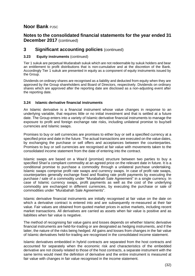# **Notes to the consolidated financial statements for the year ended 31 December 2017** (continued)

### **3 Significant accounting policies** (continued)

### **3.23 Equity instruments** (continued)

Tier 1 sukuk are perpetual Mudarabah sukuk which are not redeemable by sukuk holders and bear an entitlement to profit distributions that is non-cumulative and at the discretion of the Bank. Accordingly Tier 1 sukuk are presented in equity as a component of equity instruments issued by the Group.

Dividends on ordinary shares are recognised as a liability and deducted from equity when they are approved by the Group shareholders and Board of Directors, respectively. Dividends on ordinary shares which are approved after the reporting date are disclosed as a non-adjusting event after the reporting date.

### **3.24 Islamic derivative financial instruments**

An Islamic derivative is a financial instrument whose value changes in response to an underlying variable, that requires little or no initial investment and that is settled at a future date. The Group enters into a variety of Islamic derivative financial instruments to manage the exposure to profit and foreign exchange rate risks, including unilateral promise to buy/sell currencies and Islamic swaps.

Promises to buy or sell currencies are promises to either buy or sell a specified currency at a specified price and date in the future. The actual transactions are executed on the value dates, by exchanging the purchase or sell offers and acceptances between the counterparties. Promises to buy or sell currencies are recognised at fair value with movements taken to the consolidated income statement from the date of entering into the contract.

Islamic swaps are based on a Waa'd (promise) structure between two parties to buy a specified Shari'a compliant commodity at an agreed price on the relevant date in future. It is a conditional promise to purchase a commodity through a unilateral purchase undertaking. Islamic swaps comprise profit rate swaps and currency swaps. In case of profit rate swaps, counterparties generally exchange fixed and floating rate profit payments by executing the purchase / sale of a commodity under "Murabahah Sale Agreement" in a single currency. In case of Islamic currency swaps, profit payments as well as the cost of the underlying commodity are exchanged in different currencies, by executing the purchase or sale of commodities under "Murabahah Sale Agreements".

Islamic derivative financial instruments are initially recognised at fair value on the date on which a derivative contract is entered into and are subsequently re-measured at their fair value. Fair values are obtained from quoted market prices in active markets, including recent market transactions. All derivatives are carried as assets when fair value is positive and as liabilities when fair value is negative.

The method of recognising fair value gains and losses depends on whether Islamic derivative financial instruments are held-for-trading or are designated as hedging instruments, and if the latter, the nature of the risks being hedged. All gains and losses from changes in the fair value of Islamic derivatives held-for-trading are recognised in the consolidated income statement.

Islamic derivatives embedded in hybrid contracts are separated from the host contracts and accounted for separately when the economic risk and characteristics of the embedded derivative are not closely related to those of the host contracts, a separate instrument with the same terms would meet the definition of derivative and the entire instrument is measured at fair value with changes in fair value recognised in the income statement.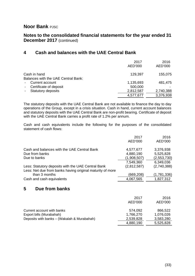# **Notes to the consolidated financial statements for the year ended 31 December 2017** (continued)

# **4 Cash and balances with the UAE Central Bank**

|                                     | 2017<br>AED'000 | 2016<br>AED'000 |
|-------------------------------------|-----------------|-----------------|
| Cash in hand                        | 129,397         | 155,075         |
| Balances with the UAE Central Bank: |                 |                 |
| Current account<br>$\sim$           | 1,135,693       | 481,475         |
| - Certificate of deposit            | 500,000         |                 |
| - Statutory deposits                | 2,812,587       | 2,740,388       |
|                                     | 4,577,677       | 3,376,938       |

The statutory deposits with the UAE Central Bank are not available to finance the day to day operations of the Group, except in a crisis situation. Cash in hand, current account balances and statutory deposits with the UAE Central Bank are non-profit bearing. Certificate of deposit with the UAE Central Bank carries a profit rate of 1.2% per annum.

Cash and cash equivalents include the following for the purposes of the consolidated statement of cash flows:

|                                                           | 2017        | 2016        |
|-----------------------------------------------------------|-------------|-------------|
|                                                           | AED'000     | AED'000     |
| Cash and balances with the UAE Central Bank               | 4,577,677   | 3,376,938   |
| Due from banks                                            | 4,880,190   | 5,525,828   |
| Due to banks                                              | (1,908,507) | (2,553,730) |
|                                                           | 7,549,360   | 6,349,036   |
| Less: Statutory deposits with the UAE Central Bank        | (2,812,587) | (2,740,388) |
| Less: Net due from banks having original maturity of more |             |             |
| than 3 months                                             | (669,208)   | (1,781,336) |
| Cash and cash equivalents                                 | 4,067,565   | 1,827,312   |
| Due from banks<br>5                                       |             |             |
|                                                           | 2017        | 2016        |
|                                                           | AED'000     | AED'000     |
| Current account with banks                                | 574,092     | 866,522     |

| Current account with banks                  | 574,092   | 866,522   |
|---------------------------------------------|-----------|-----------|
| Export bills (Murabahah)                    | 1,766,270 | 1,076,026 |
| Deposits with banks – (Wakalah & Murabahah) | 2,539,828 | 3.583.280 |
|                                             | 4.880.190 | 5.525.828 |
|                                             |           |           |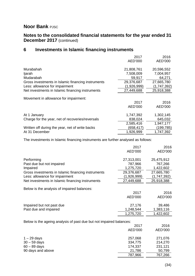## **Notes to the consolidated financial statements for the year ended 31 December 2017** (continued)

## **6 Investments in Islamic financing instruments**

|                                                    | 2017        | 2016        |
|----------------------------------------------------|-------------|-------------|
|                                                    | AED'000     | AED'000     |
| Murabahah                                          | 21,808,761  | 20,596,552  |
| ljarah                                             | 7,508,009   | 7,004,957   |
| Mudarabah                                          | 59,917      | 64,271      |
| Gross investments in Islamic financing instruments | 29,376,687  | 27,665,780  |
| Less: allowance for impairment                     | (1,926,999) | (1,747,392) |
| Net investments in Islamic financing instruments   | 27,449,688  | 25,918,388  |
| Movement in allowance for impairment:              |             |             |
|                                                    | 2017        | 2016        |
|                                                    | AED'000     | AED'000     |
| At 1 January                                       | 1,747,392   | 1,302,145   |
| Charge for the year, net of recoveries/reversals   | 838,024     | 645,032     |
|                                                    | 2,585,416   | 1,947,177   |
| Written off during the year, net of write backs    | (658,417)   | (199,785)   |
| At 31 December                                     | 1,926,999   | 1,747,392   |

The investments in Islamic financing instruments are further analysed as follows:

|                                                                     | 2017        | 2016        |
|---------------------------------------------------------------------|-------------|-------------|
|                                                                     | AED'000     | AED'000     |
| Performing                                                          | 27,313,001  | 25,475,912  |
| Past due but not impaired                                           | 787,966     | 767,266     |
| Impaired                                                            | 1,275,720   | 1,422,602   |
| Gross investments in Islamic financing instruments                  | 29,376,687  | 27,665,780  |
| Less: allowance for impairment                                      | (1,926,999) | (1,747,392) |
| Net investments in Islamic financing instruments                    | 27,449,688  | 25,918,388  |
| Below is the analysis of impaired balances:                         |             |             |
|                                                                     | 2017        | 2016        |
|                                                                     | AED'000     | AED'000     |
| Impaired but not past due                                           | 27,176      | 39,486      |
| Past due and impaired                                               | 1,248,544   | 1,383,116   |
|                                                                     | 1,275,720   | 1,422,602   |
| Below is the ageing analysis of past due but not impaired balances: |             |             |
|                                                                     | 2017        | 2016        |
|                                                                     | AED'000     | AED'000     |
|                                                                     |             |             |
| $\overline{A}$<br>$22 - 12$                                         | OEZ OCO     | 071.07C     |

| $1 - 29$ days     | 257,068 | 271,076 |
|-------------------|---------|---------|
| $30 - 59$ days    | 334,775 | 214,270 |
| $60 - 89$ days    | 174.337 | 231,121 |
| 90 days and above | 21,786  | 50,799  |
|                   | 787.966 | 767,266 |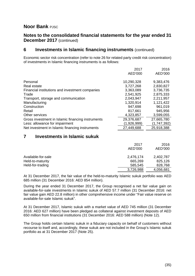## **Notes to the consolidated financial statements for the year ended 31 December 2017** (continued)

### **6 Investments in Islamic financing instruments** (continued)

Economic sector risk concentration (refer to note 26 for related party credit risk concentration) of investments in Islamic financing instruments is as follows:

|                                                   | 2017        | 2016        |
|---------------------------------------------------|-------------|-------------|
|                                                   | AED'000     | AED'000     |
|                                                   |             |             |
| Personal                                          | 10,290,328  | 9,383,476   |
| Real estate                                       | 3,727,268   | 2,830,827   |
| Financial institutions and investment companies   | 3,363,089   | 3,736,735   |
| Trade                                             | 2,541,925   | 2,875,333   |
| Transport, storage and communication              | 2,043,947   | 2,211,957   |
| Manufacturing                                     | 1,320,914   | 1,121,422   |
| Construction                                      | 947,698     | 961,019     |
| Retail                                            | 817,661     | 945,956     |
| Other services                                    | 4,323,857   | 3,599,055   |
| Gross investment in Islamic financing instruments | 29,376,687  | 27,665,780  |
| Less: allowance for impairment                    | (1,926,999) | (1,747,392) |
| Net investment in Islamic financing instruments   | 27,449,688  | 25,918,388  |

### **7 Investments in Islamic sukuk**

|                    | 2017<br>AED'000 | 2016<br>AED'000 |
|--------------------|-----------------|-----------------|
| Available-for-sale | 2,476,174       | 2,402,787       |
| Held-to-maturity   | 665,269         | 825,126         |
| Held-for-trading   | 585,545         | 828,768         |
|                    | 3,726,988       | 4,056,681       |

At 31 December 2017, the fair value of the held-to-maturity Islamic sukuk portfolio was AED 685 million (31 December 2016: AED 854 million).

During the year ended 31 December 2017, the Group recognised a net fair value gain on available-for-sale investments in Islamic sukuk of AED 57.7 million (31 December 2016: net fair value gain AED 22.8 million) in other comprehensive income under "Fair value reserve on available-for-sale Islamic sukuk".

At 31 December 2017, Islamic sukuk with a market value of AED 745 million (31 December 2016: AED 627 million) have been pledged as collateral against investment deposits of AED 650 million from financial institutions (31 December 2016: AED 588 million) (Note 12).

The Group holds certain Islamic sukuk in a fiduciary capacity on behalf of customers without recourse to itself and, accordingly, these sukuk are not included in the Group's Islamic sukuk portfolio as at 31 December 2017 (Note 25).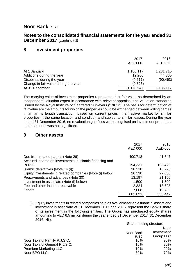## **Notes to the consolidated financial statements for the year ended 31 December 2017** (continued)

### **8 Investment properties**

|                                      | 2017      | 2016      |
|--------------------------------------|-----------|-----------|
|                                      | AED'000   | AED'000   |
| At 1 January                         | 1,186,117 | 1,231,715 |
| Additions during the year            | 12,266    | 44,865    |
| Disposals during the year            | (9,611)   | (90, 463) |
| Change in fair value during the year | (9,825)   |           |
| At 31 December                       | 1,178,947 | 1,186,117 |
|                                      |           |           |

The carrying value of investment properties represents their fair value as determined by an independent valuation expert in accordance with relevant appraisal and valuation standards issued by the Royal Institute of Chartered Surveyors ("RICS"). The basis for determination of fair value are the amounts for which the properties could be exchanged between willing parties in an arm's length transaction, based on current prices in an active market for similar properties in the same location and condition and subject to similar leases. During the year ended 31 December 2016, no revaluation gain/loss was recognised on investment properties as the amount was not significant.

## **9 Other assets**

|                                                          | 2017<br>AED'000 | 2016<br>AED'000 |
|----------------------------------------------------------|-----------------|-----------------|
| Due from related parties (Note 26)                       | 400,713         | 41,647          |
| Accrued income on investments in Islamic financing and   |                 |                 |
| sukuk                                                    | 194,331         | 192,472         |
| Islamic derivatives (Note 14 (i))                        | 36,218          | 16,225          |
| Equity investments in related companies (Note (i) below) | 26,530          | 27,030          |
| Prepayments and advances (Note 30)                       | 13,197          | 21,160          |
| Investment in associate (Note (i) below)                 | 1,500           | 1,500           |
| Fee and other income receivable                          | 2,324           | 13,628          |
| <b>Others</b>                                            | 7,008           | 19,780          |
|                                                          | 681,821         | 333,442         |

(i) Equity investments in related companies held as available-for-sale financial assets and investment in associate at 31 December 2017 and 2016, represent the Bank's share of its investment in the following entities. The Group has purchased equity shares amounting to AED 6.5 million during the year ended 31 December 2017 (31 December 2016: Nil).

|                               | Shareholding structure |            |
|-------------------------------|------------------------|------------|
|                               |                        | Noor       |
|                               | Noor Bank              | Investment |
|                               | <b>PJSC</b>            | Group LLC  |
| Noor Takaful Family P.J.S.C.  | 10%                    | 90%        |
| Noor Takaful General P.J.S.C. | 10%                    | 90%        |
| <b>Premium Marketing LLC</b>  | 10%                    | 90%        |
| Noor BPO LLC                  | 30%                    | 70%        |
|                               |                        |            |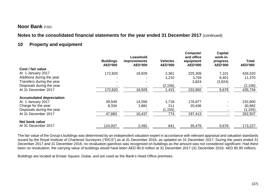## **Notes to the consolidated financial statements for the year ended 31 December 2017** (continued)

## **10 Property and equipment**

| <b>AED'000</b><br><b>AED'000</b><br><b>AED'000</b><br><b>AED'000</b><br><b>AED'000</b><br>Cost / fair value | Total<br><b>AED'000</b> |
|-------------------------------------------------------------------------------------------------------------|-------------------------|
|                                                                                                             |                         |
| At 1 January 2017<br>172,820<br>18,929<br>2,361<br>225,309<br>7,101                                         | 426,520                 |
| Additions during the year<br>1,210<br>3,759<br>6,401                                                        | 11,370                  |
| Transfers during the year<br>3,824<br>(3,824)                                                               |                         |
| (2, 156)<br>Disposals during the year                                                                       | (2, 156)                |
| 18,929<br>232,892<br>9,678<br>172,820<br>At 31 December 2017<br>,415                                        | 435,734                 |
| <b>Accumulated depreciation</b>                                                                             |                         |
| 39,549<br>14,556<br>1,718<br>176,977<br>At 1 January 2017                                                   | 232,800                 |
| Charge for the year<br>211<br>8,334<br>1,881<br>20,436                                                      | 30,862                  |
| Disposals during the year<br>(1, 155)                                                                       | (1, 155)                |
| 197,413<br>At 31 December 2017<br>47,883<br>16,437<br>774                                                   | 262,507                 |
| Net book value                                                                                              |                         |
| At 31 December 2017<br>124,937<br>2,492<br>641<br>9,678<br>35,479                                           | 173,227                 |

The fair value of the Group's buildings was determined by an independent valuation expert in accordance with relevant appraisal and valuation standards issued by the Royal Institute of Chartered Surveyors ("RICS") as at 31 December 2016, as updated on 31 December 2017. During the years ended 31 December 2017 and 31 December 2016, no revaluation gain/loss was recognised on buildings as the amount was not considered significant. Had there been no revaluation, the carrying value of buildings would have been AED 80.8 million at 31 December 2017 (31 December 2016: AED 85.95 million).

Buildings are located at Emaar Square, Dubai, and are used as the Bank's Head Office premises.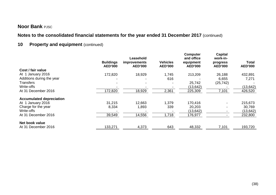# **Notes to the consolidated financial statements for the year ended 31 December 2017** (continued)

# **10 Property and equipment** (continued)

|                                 | <b>Buildings</b><br><b>AED'000</b> | Leasehold<br><i>improvements</i><br><b>AED'000</b> | <b>Vehicles</b><br><b>AED'000</b> | <b>Computer</b><br>and office<br>equipment<br><b>AED'000</b> | <b>Capital</b><br>work-in-<br>progress<br><b>AED'000</b> | Total<br><b>AED'000</b> |
|---------------------------------|------------------------------------|----------------------------------------------------|-----------------------------------|--------------------------------------------------------------|----------------------------------------------------------|-------------------------|
| Cost / fair value               |                                    |                                                    |                                   |                                                              |                                                          |                         |
| At 1 January 2016               | 172,820                            | 18,929                                             | 1,745                             | 213,209                                                      | 26,188                                                   | 432,891                 |
| Additions during the year       |                                    |                                                    | 616                               |                                                              | 6,655                                                    | 7,271                   |
| <b>Transfers</b>                |                                    |                                                    |                                   | 25,742                                                       | (25, 742)                                                |                         |
| Write-offs                      |                                    |                                                    |                                   | (13, 642)                                                    |                                                          | (13, 642)               |
| At 31 December 2016             | 172,820                            | 18,929                                             | 2,361                             | 225,309                                                      | 7,101                                                    | 426,520                 |
| <b>Accumulated depreciation</b> |                                    |                                                    |                                   |                                                              |                                                          |                         |
| At 1 January 2016               | 31,215                             | 12,663                                             | 1,379                             | 170,416                                                      |                                                          | 215,673                 |
| Charge for the year             | 8,334                              | 1,893                                              | 339                               | 20,203                                                       |                                                          | 30,769                  |
| Write-offs                      |                                    |                                                    |                                   | (13, 642)                                                    |                                                          | (13,642)                |
| At 31 December 2016             | 39,549                             | 14,556                                             | 1,718                             | 176,977                                                      |                                                          | 232,800                 |
| Net book value                  |                                    |                                                    |                                   |                                                              |                                                          |                         |
| At 31 December 2016             | 133,271                            | 4,373                                              | 643                               | 48,332                                                       | 7,101                                                    | 193,720                 |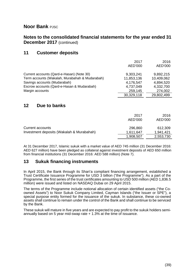## **Notes to the consolidated financial statements for the year ended 31 December 2017** (continued)

## **11 Customer deposits**

|                                                | 2017<br>AED'000 | 2016<br>AED'000 |
|------------------------------------------------|-----------------|-----------------|
| Current accounts (Qard-e-Hasan) (Note 30)      | 9,303,241       | 9,892,215       |
| Term accounts (Wakalah, Murabahah & Mudarabah) | 11,853,136      | 10,409,062      |
| Savings accounts (Mudarabah)                   | 4,176,547       | 4,894,520       |
| Escrow accounts (Qard-e-Hasan & Mudarabah)     | 4,737,049       | 4,332,700       |
| Margin accounts                                | 259,145         | 274,002         |
|                                                | 30,329,118      | 29,802,499      |

## **12 Due to banks**

|                                           | 2017<br>AED'000 | 2016<br>AED'000 |
|-------------------------------------------|-----------------|-----------------|
| Current accounts                          | 296,860         | 612,309         |
| Investment deposits (Wakalah & Murabahah) | 1,611,647       | 1,941,421       |
|                                           | 1,908,507       | 2,553,730       |

At 31 December 2017, Islamic sukuk with a market value of AED 745 million (31 December 2016: AED 627 million) have been pledged as collateral against investment deposits of AED 650 million from financial institutions (31 December 2016: AED 588 million) (Note 7).

## **13 Sukuk financing instruments**

In April 2015, the Bank through its Shari'a compliant financing arrangement, established a Trust Certificate Issuance Programme for USD 3 billion ("the Programme"). As a part of the Programme, the first series of the trust certificates amounting to USD 500 million (AED 1,836.5 million) were issued and listed on NASDAQ Dubai on 29 April 2015.

The terms of the Programme include notional allocation of certain identified assets ("the Coowned Assets") to Noor Sukuk Company Limited, Cayman Islands ("the Issuer or SPE"), a special purpose entity formed for the issuance of the sukuk. In substance, these co-owned assets shall continue to remain under the control of the Bank and shall continue to be serviced by the Bank.

These sukuk will mature in five years and are expected to pay profit to the sukuk holders semiannually based on 5 year mid-swap rate + 1.3% at the time of issuance.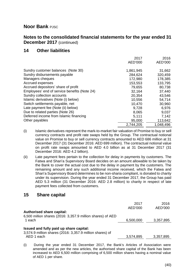## **Notes to the consolidated financial statements for the year ended 31 December 2017** (continued)

### **14 Other liabilities**

|                                              | 2017      | 2016      |
|----------------------------------------------|-----------|-----------|
|                                              | AED'000   | AED'000   |
|                                              |           |           |
| Sundry customer balances (Note 30)           | 1,861,945 | 31,662    |
| Sundry disbursements payable                 | 284,624   | 320,459   |
| Managers cheques                             | 172,980   | 178,385   |
| Accrued expenses                             | 153,553   | 133,795   |
| Accrued depositors' share of profit          | 79,655    | 80,738    |
| Employees' end of service benefits (Note 24) | 32,164    | 37,440    |
| Sundry collection accounts                   | 20,354    | 43,546    |
| Islamic derivatives (Note (i) below)         | 10,556    | 54,714    |
| Switch settlements payable, net              | 10,470    | 30,960    |
| Late payment fee (Note (ii) below)           | 9,728     | 6,976     |
| Due to related parties (Note 26)             | 8,065     | 9,037     |
| Deferred income from Islamic financing       | 5,111     | 7,142     |
| Other payables                               | 95,000    | 113,642   |
|                                              | 2,744,205 | 1,048,496 |

- (i) Islamic derivatives represent the mark-to-market fair valuation of Promise to buy or sell currency contracts and profit rate swaps held by the Group. The contractual notional value on Promise to buy or sell currency contracts amounted to AED 686 million at 31 December 2017 (31 December 2016: AED 699 million). The contractual notional value on profit rate swaps amounted to AED 4.0 billion as at 31 December 2017 (31 December 2016: AED 4.2 billion).
- (ii) Late payment fees pertain to the collection for delay in payments by customers. The Fatwa and Shari'a Supervisory Board decides on an amount allowable to be taken by the Bank to cover the actual cost due to the delay in payment by the customers. The remaining amount and any such additional income received, which the Fatwa and Shari'a Supervisory Board determines to be non-sharia compliant, is donated to charity under its supervision. During the year ended 31 December 2017, the Group has paid AED 5.3 million (31 December 2016: AED 2.8 million) to charity in respect of late payment fees collected from customers.

## **15 Share capital**

| <b>Authorised share capital:</b>                                                                                  | 2017<br>AED'000 | 2016<br>AED'000 |
|-------------------------------------------------------------------------------------------------------------------|-----------------|-----------------|
| 6,500 million shares (2016: 3,357.9 million shares) of AED<br>1 each                                              | 6,500,000       | 3,357,895       |
| Issued and fully paid up share capital:<br>3,574.9 million shares (2016: 3,357.9 million shares) of<br>AED 1 each | 3,574,895       | 3,357,895       |

(i) During the year ended 31 December 2017, the Bank's Articles of Association were amended and as per the new articles, the authorised share capital of the Bank has been increased to AED 6,500 million comprising of 6,500 million shares having a nominal value of AED 1 per share.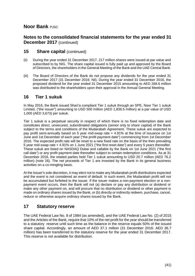## **Notes to the consolidated financial statements for the year ended 31 December 2017** (continued)

### **15 Share capital** (continued)

- (ii) During the year ended 31 December 2017, 217 million shares were issued at par value and subscribed to by NIG. The share capital issued is fully paid up and approved by the Board of Directors, the shareholders in the General Meeting of the Bank and the UAE Central Bank.
- (iii) The Board of Directors of the Bank do not propose any dividends for the year ended 31 December 2017 (31 December 2016: Nil). During the year ended 31 December 2016, the proposed dividend for the year ended 31 December 2015 amounting to AED 268.6 million was distributed to the shareholders upon their approval in the Annual General Meeting.

### **16 Tier 1 sukuk**

In May 2016, the Bank issued Shari'a compliant Tier 1 sukuk through an SPE, Noor Tier 1 sukuk Limited, ("the issuer") amounting to USD 500 million (AED 1,836.5 million) at a par value of USD 1,000 (AED 3,673) per sukuk.

Tier 1 sukuk is a perpetual security in respect of which there is no fixed redemption date and constitutes direct, unsecured, subordinated obligations (senior only to share capital) of the Bank subject to the terms and conditions of the Mudarabah Agreement. These sukuk are expected to pay profit semi-annually based on 5 year mid-swap rate + 4.91% at the time of issuance on 1st June and 1st December of each year ("the profit payment date") commencing from 1st December 2016. The expected profit rate will be reset to a new fixed rate on the basis of the then prevailing 5 year mid-swap rate + 4.91% on 1 June 2021 ("the first reset date") and every 5 years thereafter. These sukuk are listed on NASDAQ Dubai and callable by the Bank on 1st June 2021 ("the first call date") or any profit payment date thereafter subject to certain redemption conditions. As at 31 December 2016, the related parties held Tier 1 sukuk amounting to USD 20.7 million (AED 76.2 million) (note 26). The net proceeds of Tier 1 are invested by the Bank in its general business activities on a co-mingling basis.

At the Issuer's sole discretion, it may elect not to make any Mudarabah profit distributions expected and the event is not considered an event of default. In such event, the Mudarabah profit will not be accumulated but forfeited to the issuer. If the issuer makes a non-payment election or a nonpayment event occurs, then the Bank will not (a) declare or pay any distribution or dividend or make any other payment on, and will procure that no distribution or dividend or other payment is made on ordinary shares issued by the Bank, or (b) directly or indirectly redeem, purchase, cancel, reduce or otherwise acquire ordinary shares issued by the Bank.

## **17 Statutory reserve**

The UAE Federal Law No. 8 of 1984 (as amended), and the UAE Federal Law No. (2) of 2015 and the Articles of the Bank, require that 10% of the net profit for the year should be transferred to a statutory reserve until such time as the balance in the reserve equals 50% of the issued share capital. Accordingly, an amount of AED 37.1 million (31 December 2016: AED 36.7 million) has been transferred to the statutory reserve for the year ended 31 December 2017. This reserve is not available for distribution.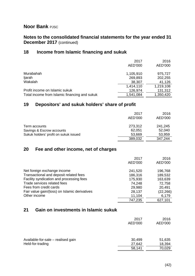## **Notes to the consolidated financial statements for the year ended 31 December 2017** (continued)

## **18 Income from Islamic financing and sukuk**

|                                               | 2017      | 2016      |
|-----------------------------------------------|-----------|-----------|
|                                               | AED'000   | AED'000   |
| Murabahah                                     | 1,105,910 | 975,727   |
| ljarah                                        | 269,893   | 202,255   |
| Wakalah                                       | 38,307    | 41,126    |
|                                               | 1,414,110 | 1,219,108 |
| Profit income on Islamic sukuk                | 126,974   | 131,312   |
| Total income from Islamic financing and sukuk | 1,541,084 | 1,350,420 |

## **19 Depositors' and sukuk holders' share of profit**

|                                       | 2017<br>AED'000 | 2016<br>AED'000 |
|---------------------------------------|-----------------|-----------------|
| Term accounts                         | 273,312         | 241,245         |
| Savings & Escrow accounts             | 62,051          | 52,040          |
| Sukuk holders' profit on sukuk issued | 53,669          | 53,959          |
|                                       | 389,032         | 347,244         |

## **20 Fee and other income, net of charges**

|                                               | 2017    | 2016      |
|-----------------------------------------------|---------|-----------|
|                                               | AED'000 | AED'000   |
| Net foreign exchange income                   | 241,520 | 196,768   |
| Transactional and deposit related fees        | 186,316 | 189,532   |
| Facility syndication and processing fees      | 175,930 | 163,639   |
| Trade services related fees                   | 74,248  | 72,758    |
| Fees from credit cards                        | 29,980  | 20,491    |
| Fair value gain/(loss) on Islamic derivatives | 28,137  | (22, 266) |
| Other income                                  | 11,104  | 6,179     |
|                                               | 747,235 | 627,101   |

## **21 Gain on investments in Islamic sukuk**

|                                                        | 2017<br>AED'000            | 2016<br>AED'000            |
|--------------------------------------------------------|----------------------------|----------------------------|
| Available-for-sale - realised gain<br>Held-for-trading | 30,499<br>27,642<br>58,141 | 51,635<br>18,394<br>70,029 |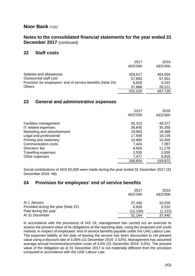## **Notes to the consolidated financial statements for the year ended 31 December 2017** (continued)

### **22 Staff costs**

|                                                            | 2017<br>AED'000 | 2016<br>AED'000 |
|------------------------------------------------------------|-----------------|-----------------|
| Salaries and allowances                                    | 429,517         | 404,934         |
| Outsourced staff cost                                      | 57,993          | 57,951          |
| Provision for employees' end of service benefits (Note 24) | 6,828           | 6,532           |
| <b>Others</b>                                              | 37,886          | 28,312          |
|                                                            | 532,224         | 497,729         |

## **23 General and administrative expenses**

|                             | 2017    | 2016    |
|-----------------------------|---------|---------|
|                             | AED'000 | AED'000 |
| Facilities management       | 56,313  | 49,377  |
| IT related expenses         | 39,845  | 35,350  |
| Marketing and advertisement | 19,683  | 18,388  |
| Legal and professional      | 17,938  | 18,136  |
| Printing and stationery     | 10,885  | 10,405  |
| Communication costs         | 7,424   | 7,087   |
| Directors' fee              | 6,504   | 11,276  |
| <b>Travelling expenses</b>  | 2,535   | 2,935   |
| Other expenses              | 7,477   | 6,918   |
|                             | 168,604 | 159,872 |

Social contributions of AED 60,000 were made during the year ended 31 December 2017 (31 December 2016: Nil).

## **24 Provision for employees' end of service benefits**

|                                    | 2017      | 2016     |
|------------------------------------|-----------|----------|
|                                    | AED'000   | AED'000  |
| At 1 January                       | 37,440    | 32,030   |
| Provided during the year (Note 22) | 6,828     | 6,532    |
| Paid during the year               | (12, 104) | (1, 122) |
| At 31 December                     | 32,164    | 37,440   |

In accordance with the provisions of IAS 19, management has carried out an exercise to assess the present value of its obligations at the reporting date, using the projected unit credit method, in respect of employees' end of service benefits payable under the UAE Labour Law. The expected liability at the date of leaving the service has been discounted to net present value using a discount rate of 3.08% (31 December 2016: 2.52%). Management has assumed average annual increment/promotion costs of 4.0% (31 December 2016: 3.0%). The present value of the obligation as at 31 December 2017 is not materially different from the provision computed in accordance with the UAE Labour Law.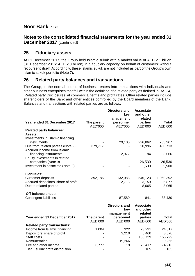## **Notes to the consolidated financial statements for the year ended 31 December 2017** (continued)

## **25 Fiduciary assets**

At 31 December 2017, the Group held Islamic sukuk with a market value of AED 2.1 billion (31 December 2016: AED 2.0 billion) in a fiduciary capacity on behalf of customers' without recourse to itself. Accordingly, these Islamic sukuk are not included as part of the Group's own Islamic sukuk portfolio (Note 7).

### **26 Related party balances and transactions**

The Group, in the normal course of business, enters into transactions with individuals and other business enterprises that fall within the definition of a related party as defined in IAS 24, 'Related party Disclosures' at commercial terms and profit rates. Other related parties include shareholders of the Bank and other entities controlled by the Board members of the Bank. Balances and transactions with related parties are as follows:

|                                                                  |                       | <b>Directors and</b><br>key<br>management | <b>Associate</b><br>and other<br>related |                         |
|------------------------------------------------------------------|-----------------------|-------------------------------------------|------------------------------------------|-------------------------|
| Year ended 31 December 2017                                      | The parent<br>AED'000 | personnel<br>AED'000                      | parties<br>AED'000                       | <b>Total</b><br>AED'000 |
| <b>Related party balances:</b><br>Assets:                        |                       |                                           |                                          |                         |
| Investments in Islamic financing<br>instruments                  |                       | 29,105                                    | 226,862                                  | 255,967                 |
| Due from related parties (Note 9)<br>Accrued income from Islamic | 379,717               |                                           | 20,996                                   | 400,713                 |
| financing instruments<br>Equity investments in related           |                       | 2,972                                     | 94                                       | 3,066                   |
| companies (Note 9)<br>Investment in associate (Note 9)           |                       |                                           | 26,530<br>1,500                          | 26,530<br>1,500         |
| <b>Liabilities:</b>                                              |                       |                                           |                                          |                         |
| <b>Customer deposits</b>                                         | 392,186               | 132,083                                   | 545,123                                  | 1,069,392               |
| Accrued depositors' share of profit                              |                       | 2,718                                     | 3,159                                    | 5,877                   |
| Due to related parties                                           |                       |                                           | 8,065                                    | 8,065                   |
| Off balance sheet:                                               |                       |                                           |                                          |                         |
| <b>Contingent liabilities</b>                                    |                       | 87,589                                    | 841                                      | 88,430                  |
|                                                                  |                       | <b>Directors and</b><br>key               | <b>Associate</b><br>and other            |                         |
|                                                                  |                       | management                                | related                                  |                         |
| Year ended 31 December 2017                                      | The parent            | personnel                                 | parties                                  | <b>Total</b>            |
|                                                                  | AED'000               | AED'000                                   | AED'000                                  | AED'000                 |
| <b>Related party transactions:</b>                               |                       |                                           |                                          |                         |
| Income from Islamic financing                                    | 1,004                 | 322                                       | 23,291                                   | 24,617                  |
| Depositors' share of profit                                      |                       | 3,210                                     | 5,460                                    | 8,670                   |
| Staff costs                                                      |                       |                                           | 155,729                                  | 155,729                 |
| Remuneration                                                     |                       | 19,266                                    |                                          | 19,266                  |
| Fee and other income                                             | 3,777                 | 19                                        | 70,417<br>105                            | 74,213<br>105           |
| Tier 1 sukuk profit distribution                                 |                       |                                           |                                          |                         |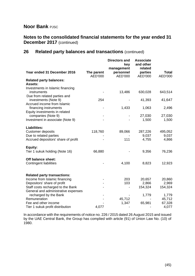## **Notes to the consolidated financial statements for the year ended 31 December 2017** (continued)

### **26 Related party balances and transactions** (continued)

| Year ended 31 December 2016                                              | The parent | <b>Directors and</b><br>key<br>management<br>personnel | <b>Associate</b><br>and other<br>related<br>parties | <b>Total</b>   |
|--------------------------------------------------------------------------|------------|--------------------------------------------------------|-----------------------------------------------------|----------------|
|                                                                          | AED'000    | AED'000                                                | AED'000                                             | AED'000        |
| <b>Related party balances:</b><br><b>Assets:</b>                         |            |                                                        |                                                     |                |
| Investments in Islamic financing<br>instruments                          |            | 13,486                                                 | 630,028                                             | 643,514        |
| Due from related parties and<br>investments (Note 9)                     | 254        |                                                        | 41,393                                              | 41,647         |
| Accrued income from Islamic<br>financing instruments                     |            | 1,433                                                  | 1,063                                               | 2,496          |
| Equity investments in related<br>companies (Note 9)                      |            |                                                        | 27,030                                              | 27,030         |
| Investment in associate (Note 9)                                         |            |                                                        | 1,500                                               | 1,500          |
| <b>Liabilities:</b>                                                      |            |                                                        |                                                     |                |
| <b>Customer deposits</b>                                                 | 118,760    | 89,066                                                 | 287,226                                             | 495,052        |
| Due to related parties<br>Accrued depositors' share of profit            |            | 111                                                    | 9,037<br>4,755                                      | 9,037<br>4,866 |
| Equity:                                                                  |            |                                                        |                                                     |                |
| Tier 1 sukuk holding (Note 16)                                           | 66,880     |                                                        | 9,356                                               | 76,236         |
| Off balance sheet:                                                       |            |                                                        |                                                     |                |
| <b>Contingent liabilities</b>                                            |            | 4,100                                                  | 8,823                                               | 12,923         |
| <b>Related party transactions:</b>                                       |            |                                                        |                                                     |                |
| Income from Islamic financing                                            |            | 203                                                    | 20,657                                              | 20,860         |
| Depositors' share of profit                                              |            | 103                                                    | 2,866                                               | 2,969          |
| Staff costs recharged to the Bank<br>General and administrative expenses |            |                                                        | 154,324                                             | 154,324        |
| recharged by the Bank                                                    |            |                                                        | 1,779                                               | 1,779          |
| Remuneration                                                             |            | 45,712                                                 |                                                     | 45,712         |
| Fee and other income                                                     |            | 1,347                                                  | 65,981                                              | 67,328         |
| Tier 1 sukuk profit distribution                                         | 4,077      |                                                        |                                                     | 4,077          |

In accordance with the requirements of notice no. 226 / 2015 dated 26 August 2015 and issued by the UAE Central Bank, the Group has complied with article (91) of Union Law No. (10) of 1980.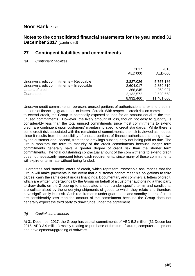## **Notes to the consolidated financial statements for the year ended 31 December 2017** (continued)

## **27 Contingent liabilities and commitments**

*(a) Contingent liabilities*

|                                                                                                                       | 2017<br>AED'000                                | 2016<br>AED'000                                |
|-----------------------------------------------------------------------------------------------------------------------|------------------------------------------------|------------------------------------------------|
| Undrawn credit commitments - Revocable<br>Undrawn credit commitments - Irrevocable<br>Letters of credit<br>Guarantees | 3,827,026<br>2,604,017<br>368,845<br>2,132,572 | 5,757,186<br>2,859,819<br>263,927<br>2,520,668 |
|                                                                                                                       | 8,932,460                                      | 11,401,600                                     |

Undrawn credit commitments represent unused portions of authorisations to extend credit in the form of financing, guarantees or letters of credit. With respect to credit risk on commitments to extend credit, the Group is potentially exposed to loss for an amount equal to the total unused commitments. However, the likely amount of loss, though not easy to quantify, is considerably less than the total unused commitments since most commitments to extend credit are contingent upon customers' maintaining specific credit standards. While there is some credit risk associated with the remainder of commitments, the risk is viewed as modest, since it results from the possibility of unused portions of finance authorisations being drawn by the customer and, second, from these drawings subsequently not being paid as due. The Group monitors the term to maturity of the credit commitments because longer term commitments generally have a greater degree of credit risk than the shorter term commitments. The total outstanding contractual amount of the commitments to extend credit does not necessarily represent future cash requirements, since many of these commitments will expire or terminate without being funded.

Guarantees and standby letters of credit, which represent irrevocable assurances that the Group will make payments in the event that a customer cannot meet his obligations to third parties, carry the same credit risk as financings. Documentary and commercial letters of credit, which are written undertakings by the Group on behalf of a customer authorising a third party to draw drafts on the Group up to a stipulated amount under specific terms and conditions, are collateralised by the underlying shipments of goods to which they relate and therefore have significantly less risk. Cash requirements under guarantees and standby letters of credit are considerably less than the amount of the commitment because the Group does not generally expect the third party to draw funds under the agreement.

#### *(b) Capital commitments*

At 31 December 2017, the Group has capital commitments of AED 5.2 million (31 December 2016: AED 3.9 million) mainly relating to purchase of furniture, fixtures, computer equipment and development/upgrading of software.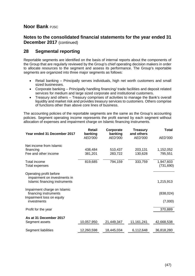## **Notes to the consolidated financial statements for the year ended 31 December 2017** (continued)

## **28 Segmental reporting**

Reportable segments are identified on the basis of internal reports about the components of the Group that are regularly reviewed by the Group's chief operating decision makers in order to allocate resources to the segment and assess its performance. The Group's reportable segments are organized into three major segments as follows:

- Retail banking Principally serves individuals, high net worth customers and small sized businesses.
- Corporate banking Principally handling financing/ trade facilities and deposit related services for medium and large sized corporate and institutional customers.
- Treasury and others Treasury comprises of activities to manage the Bank's overall liquidity and market risk and provides treasury services to customers. Others comprise of functions other than above core lines of business.

The accounting policies of the reportable segments are the same as the Group's accounting policies. Segment operating income represents the profit earned by each segment without allocation of expenses and impairment charge on Islamic financing instruments.

| Year ended 31 December 2017                             | Retail<br>banking | Corporate<br>banking | <b>Treasury</b><br>and others | <b>Total</b> |
|---------------------------------------------------------|-------------------|----------------------|-------------------------------|--------------|
|                                                         | AED'000           | AED'000              | AED'000                       | AED'000      |
| Net income from Islamic                                 |                   |                      |                               |              |
| financing                                               | 438,484           | 510,437              | 203,131                       | 1,152,052    |
| Fee and other income                                    | 381,201           | 283,722              | 130,628                       | 795,551      |
| Total income                                            | 819,685           | 794,159              | 333,759                       | 1,947,603    |
| Total expenses                                          |                   |                      |                               | (731, 690)   |
| Operating profit before<br>impairment on investments in |                   |                      |                               |              |
| Islamic financing instruments                           |                   |                      |                               | 1,215,913    |
| Impairment charge on Islamic                            |                   |                      |                               |              |
| financing instruments                                   |                   |                      |                               | (838, 024)   |
| Impairment loss on equity<br>investments                |                   |                      |                               | (7,000)      |
| Profit for the year                                     |                   |                      |                               | 370,889      |
|                                                         |                   |                      |                               |              |
| As at 31 December 2017                                  |                   |                      |                               |              |
| Segment assets                                          | 10,057,950        | 21,449,347           | 11, 161, 241                  | 42,668,538   |
| Segment liabilities                                     | 12,260,598        | 18,445,034           | 6,112,648                     | 36,818,280   |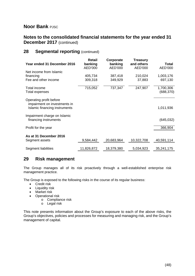## **Notes to the consolidated financial statements for the year ended 31 December 2017** (continued)

### **28 Segmental reporting** (continued)

| Year ended 31 December 2016                                                              | <b>Retail</b><br>banking<br>AED'000 | Corporate<br>banking<br>AED'000 | Treasury<br>and others<br>AED'000 | Total<br>AED'000        |
|------------------------------------------------------------------------------------------|-------------------------------------|---------------------------------|-----------------------------------|-------------------------|
| Net income from Islamic                                                                  |                                     |                                 |                                   |                         |
| financing                                                                                | 405,734                             | 387,418                         | 210,024                           | 1,003,176               |
| Fee and other income                                                                     | 309,318                             | 349,929                         | 37,883                            | 697,130                 |
| Total income<br>Total expenses                                                           | 715,052                             | 737,347                         | 247,907                           | 1,700,306<br>(688, 370) |
| Operating profit before<br>impairment on investments in<br>Islamic financing instruments |                                     |                                 |                                   | 1,011,936               |
| Impairment charge on Islamic<br>financing instruments                                    |                                     |                                 |                                   | (645, 032)              |
| Profit for the year                                                                      |                                     |                                 |                                   | 366,904                 |
| As at 31 December 2016<br>Segment assets                                                 | 9,584,442                           | 20,683,964                      | 10,322,708                        | 40,591,114              |
| Segment liabilities                                                                      | 11,826,872                          | 18,379,380                      | 5,034,923                         | 35,241,175              |

## **29 Risk management**

The Group manages all of its risk proactively through a well-established enterprise risk management practice.

The Group is exposed to the following risks in the course of its regular business:

- Credit risk
- Liquidity risk
- Market risk
- Operational risk
	- o Compliance risk
	- o Legal risk

This note presents information about the Group's exposure to each of the above risks, the Group's objectives, policies and processes for measuring and managing risk, and the Group's management of capital.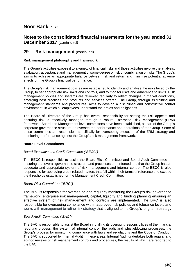## **Notes to the consolidated financial statements for the year ended 31 December 2017** (continued)

### **29 Risk management** (continued)

#### **Risk management philosophy and framework**

The Group's activities expose it to a variety of financial risks and those activities involve the analysis, evaluation, acceptance and management of some degree of risk or combination of risks. The Group's aim is to achieve an appropriate balance between risk and return and minimise potential adverse effects on the Group's financial performance.

The Group's risk management policies are established to identify and analyse the risks faced by the Group, to set appropriate risk limits and controls, and to monitor risks and adherence to limits. Risk management policies and systems are reviewed regularly to reflect changes in market conditions, emerging best practices and products and services offered. The Group, through its training and management standards and procedures, aims to develop a disciplined and constructive control environment, in which all employees understand their roles and obligations.

The Board of Directors of the Group has overall responsibility for setting the risk appetite and ensuring risk is effectively managed through a robust Enterprise Risk Management (ERM) framework. Board and Management level committees have been established, as part of the Group's corporate governance structure, to oversee the performance and operations of the Group. Some of these committees are responsible specifically for overseeing execution of the ERM strategy and monitoring performance against the Group's risk management framework:

#### **Board Level Committees**

#### *Board Executive and Credit Committee ("BECC")*

The BECC is responsible to assist the Board Risk Committee and Board Audit Committee in ensuring that overall governance structure and processes are enforced and that the Group has an adequate and appropriate system of risk management and internal control. The BECC is also responsible for approving credit related matters that fall within their terms of reference and exceed the thresholds established for the Management Credit Committee.

#### *Board Risk Committee ("BRC")*

The BRC is responsible for overseeing and regularly monitoring the Group's risk governance framework, enterprise risk management, capital, liquidity and funding planning ensuring an effective system of risk management and controls are implemented. The BRC is also responsible for overseeing compliance within approved risk policies and tolerance levels and works with management to refine risk strategy that is aligned to the Group's long term strategy

#### *Board Audit Committee ("BAC")*

The BAC is responsible to assist the Board in fulfilling its oversight responsibilities of the financial reporting process, the system of internal control, the audit and whistleblowing processes, the Group's process for monitoring compliance with laws and regulations and the Code of Conduct. The BAC is supported by Internal Audit in these areas. Internal Audit undertakes both regular and ad-hoc reviews of risk management controls and procedures, the results of which are reported to the BAC.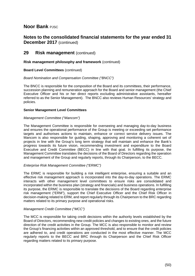## **Notes to the consolidated financial statements for the year ended 31 December 2017** (continued)

### **29 Risk management** (continued)

#### **Risk management philosophy and framework** (continued)

#### **Board Level Committees** (continued)

#### *Board Nomination and Compensation Committee ("BNCC")*

The BNCC is responsible for the composition of the Board and its committees, their performance, succession planning and remuneration approach for the Board and senior management (the Chief Executive Officer and his or her direct reports excluding administrative assistants, hereafter referred to as the Senior Management). The BNCC also reviews Human Resources' strategy and policies.

#### **Senior Management Level Committees**

#### *Management Committee ("Mancom")*

The Management Committee is responsible for overseeing and managing day-to-day business and ensures the operational performance of the Group is meeting or exceeding set performance targets and authorises actions to maintain, enhance or correct service delivery issues. The Mancom is also responsible for guiding, shaping, approving and monitoring a coherent set of projects in line with the Group's long term strategy that will maintain and enhance the Bank's progress towards its future vision, recommending investment and expenditure to the Board Executive and Credit Committee (BECC) in line with that goal. In fulfilling its purpose, the Management Committee translates the decisions of the Board of Directors regarding the operation and management of the Group and regularly reports, through its Chairperson, to the BECC.

#### *Enterprise Risk Management Committee ("ERMC")*

The ERMC is responsible for building a risk intelligent enterprise, ensuring a suitable and an effective risk management approach is incorporated into the day-to-day operations. The ERMC interacts with other management level committees to ensure risks are consolidated and incorporated within the business plan (strategy and financials) and business operations. In fulfilling its purpose, the ERMC is responsible to translate the decisions of the Board regarding enterprise risk management ("ERM"), support the Chief Executive Officer and the Chief Risk Officer in decision-making related to ERM, and report regularly through its Chairperson to the BRC regarding matters related to its primary purpose and operational risks.

#### *Management Credit Committee ("MCC")*

The MCC is responsible for taking credit decisions within the authority levels established by the Board of Directors, recommending new credit policies and changes to existing ones, and the future direction of the credit activities in the Group. The MCC is also responsible to monitor and review the Group's financing activities within an approved threshold, and to ensure that the credit policies are adhered to, and credit operations are conducted in the most effective manner. The MCC regularly reports to the BECC and BRC through its Chairperson and the Chief Risk Officer regarding matters related to its primary purpose.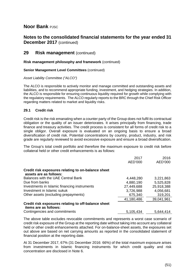## **Notes to the consolidated financial statements for the year ended 31 December 2017** (continued)

### **29 Risk management** (continued)

#### **Risk management philosophy and framework** (continued)

#### **Senior Management Level Committees (continued)**

#### *Asset Liability Committee ("ALCO")*

The ALCO is responsible to actively monitor and manage committed and outstanding assets and liabilities, and to recommend appropriate funding, investment, and hedging strategies. In addition, the ALCO is responsible for ensuring continuous liquidity required for growth while complying with the regulatory requirements. The ALCO regularly reports to the BRC through the Chief Risk Officer regarding matters related to market and liquidity risks.

#### **29.1 Credit risk**

Credit risk is the risk emanating when a counter party of the Group does not fulfil its contractual obligation or the quality of an issuer deteriorates. It arises principally from financing, trade finance and treasury activities. The credit process is consistent for all forms of credit risk to a single obligor. Overall exposure is evaluated on an ongoing basis to ensure a broad diversification of credit risk. Potential concentrations by country, product, industry, and risk grade are regularly reviewed to avoid excessive exposure and ensure a broad diversification.

The Group's total credit portfolio and therefore the maximum exposure to credit risk before collateral held or other credit enhancements is as follows:

|                                                                              | 2017       | 2016       |
|------------------------------------------------------------------------------|------------|------------|
|                                                                              | AED'000    | AED'000    |
| Credit risk exposures relating to on-balance sheet<br>assets are as follows: |            |            |
| Balances with the UAE Central Bank                                           | 4,448,280  | 3,221,863  |
| Due from banks                                                               | 4,880,190  | 5,525,828  |
| Investments in Islamic financing instruments                                 | 27,449,688 | 25,918,388 |
| Investment in Islamic sukuk                                                  | 3,726,988  | 4,056,681  |
| Other assets (excluding prepayments)                                         | 675,340    | 319,201    |
|                                                                              | 41,180,486 | 39,041,961 |
| Credit risk exposures relating to off-balance sheet<br>items are as follows: |            |            |
| Contingencies and commitments                                                | 5,105,434  | 5,644,414  |

The above table excludes revocable commitments and represents a worst case scenario of credit risk exposure of the Group at the reporting date without taking into account any collateral held or other credit enhancements attached. For on-balance-sheet assets, the exposures set out above are based on net carrying amounts as reported in the consolidated statement of financial position at the reporting date.

At 31 December 2017, 67% (31 December 2016: 66%) of the total maximum exposure arises from investments in Islamic financing instruments for which credit quality and risk concentration are disclosed in Note 6.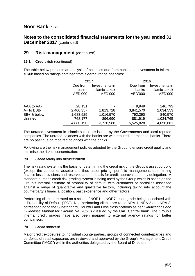## **Notes to the consolidated financial statements for the year ended 31 December 2017** (continued)

### **29 Risk management** (continued)

#### **29.1 Credit risk** (continued)

The table below presents an analysis of balances due from banks and investment in Islamic sukuk based on ratings obtained from external rating agencies:

|             | 2017      |                | 2016      |                |  |
|-------------|-----------|----------------|-----------|----------------|--|
|             | Due from  | Investments in | Due from  | Investments in |  |
|             | banks     | Islamic sukuk  | banks     | Islamic sukuk  |  |
|             | AED'000   | AED'000        | AED'000   | AED'000        |  |
|             |           |                |           |                |  |
| AAA to AA-  | 28,131    |                | 9,949     | 146,793        |  |
| A+ to BBB-  | 2,400,357 | 1,813,728      | 3,841,570 | 2,034,553      |  |
| BB+ & below | 1,683,525 | 1,016,570      | 792,390   | 840,570        |  |
| Unrated     | 768,177   | 896,690        | 881,919   | 1,034,765      |  |
|             | 4,880,190 | 3,726,988      | 5,525,828 | 4,056,681      |  |

The unrated investment in Islamic sukuk are issued by the Governments and local reputed companies. The unrated balances with the banks are with reputed international banks. There are no past due or impaired balances with the banks.

Following are the risk management policies adopted by the Group to ensure credit quality and minimise the risk of concentration:

#### *(a) Credit rating and measurement*

The risk rating system is the basis for determining the credit risk of the Group's asset portfolio (except the consumer assets) and thus asset pricing, portfolio management, determining finance loss provisions and reserves and the basis for credit approval authority delegation. A standard numeric credit risk-grading system is being used by the Group which is based on the Group's internal estimate of probability of default, with customers or portfolios assessed against a range of quantitative and qualitative factors, including taking into account the counterparty's financial position, past experience and other factors.

Performing clients are rated on a scale of NOR1 to NOR7, each grade being associated with a Probability of Default ("PD"). Non-performing clients are rated NPA-1, NPA-2 and NPA-3, corresponding to the Substandard, Doubtful and Loss classifications as per *Clarifications and Guidelines Manual for Circular No. 28/2012* issued by the UAE Central bank. The Group's internal credit grades have also been mapped to external agency ratings for better comparison.

*(b) Credit approval*

Major credit exposures to individual counterparties, groups of connected counterparties and portfolios of retail exposures are reviewed and approved by the Group's Management Credit Committee ("MCC") within the authorities delegated by the Board of Directors.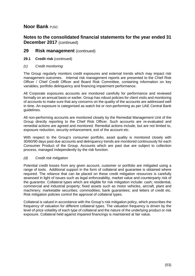## **Notes to the consolidated financial statements for the year ended 31 December 2017** (continued)

### **29 Risk management** (continued)

- **29.1 Credit risk** (continued)
- *(c) Credit monitoring*

The Group regularly monitors credit exposures and external trends which may impact risk management outcomes. Internal risk management reports are presented to the Chief Risk Officer / Chief Credit Officer and Board Risk Committee, containing information on key variables; portfolio delinquency and financing impairment performance.

All Corporate exposures accounts are monitored carefully for performance and reviewed formally on an annual basis or earlier. Group has robust policies for client visits and monitoring of accounts to make sure that any concerns on the quality of the accounts are addressed well in time. An exposure is categorised as watch list or non-performing as per UAE Central Bank guidelines.

All non-performing accounts are monitored closely by the Remedial Management Unit of the Group directly reporting to the Chief Risk Officer. Such accounts are re-evaluated and remedial actions are agreed and monitored. Remedial actions include, but are not limited to, exposure reduction, security enhancement, exit of the account etc.

With respect to the Group's consumer portfolio, asset quality is monitored closely with 30/60/90 days past due accounts and delinquency trends are monitored continuously for each Consumer Product of the Group. Accounts which are past due are subject to collection process, managed independently by the risk function.

#### *(d) Credit risk mitigation*

Potential credit losses from any given account, customer or portfolio are mitigated using a range of tools. Additional support in the form of collateral and guarantee is obtained where required. The reliance that can be placed on these credit mitigation resources is carefully assessed in light of issues such as legal enforceability, market value and counterparty risk of the guarantor. Collateral types which are eligible for risk mitigation include: cash; residential, commercial and industrial property; fixed assets such as motor vehicles, aircraft, plant and machinery; marketable securities; commodities; bank guarantees; and letters of credit etc. Risk mitigation policies control the approval of collateral types.

Collateral is valued in accordance with the Group's risk mitigation policy, which prescribes the frequency of valuation for different collateral types. The valuation frequency is driven by the level of price volatility of each type of collateral and the nature of the underlying product or risk exposure. Collateral held against impaired financings is maintained at fair value.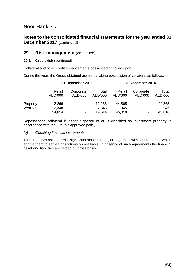## **Notes to the consolidated financial statements for the year ended 31 December 2017** (continued)

### **29 Risk management** (continued)

#### **29.1 Credit risk** (continued)

#### Collateral and other credit enhancements possessed or called upon

During the year, the Group obtained assets by taking possession of collateral as follows:

|                 |                   | 31 December 2017         |                  |                   | <b>31 December 2016</b> |                  |  |  |
|-----------------|-------------------|--------------------------|------------------|-------------------|-------------------------|------------------|--|--|
|                 | Retail<br>AED'000 | Corporate<br>AED'000     | Total<br>AED'000 | Retail<br>AED'000 | Corporate<br>AED'000    | Total<br>AED'000 |  |  |
| Property        | 12,266            | $\overline{\phantom{a}}$ | 12,266           | 44,865            |                         | 44,865           |  |  |
| <b>Vehicles</b> | 2,348             | $\overline{\phantom{a}}$ | 2,348            | 945               |                         | 945              |  |  |
|                 | 14,614            | $\overline{\phantom{a}}$ | 14,614           | 45,810            |                         | 45,810           |  |  |

Repossessed collateral is either disposed of or is classified as investment property in accordance with the Group's approved policy.

#### *(e) Offsetting financial instruments*

The Group has not entered in significant master netting arrangement with counterparties which enable them to settle transactions on net basis. In absence of such agreements the financial asset and liabilities are settled on gross basis.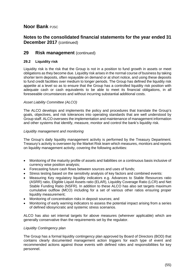## **Notes to the consolidated financial statements for the year ended 31 December 2017** (continued)

### **29 Risk management** (continued)

#### **29.2 Liquidity risk**

Liquidity risk is the risk that the Group is not in a position to fund growth in assets or meet obligations as they become due. Liquidity risk arises in the normal course of business by taking shorter term deposits, often repayable on demand or at short notice, and using these deposits to fund credit facilities over medium to longer periods. The Group has defined the liquidity risk appetite at a level so as to ensure that the Group has a controlled liquidity risk position with adequate cash or cash equivalents to be able to meet its financial obligations, in all foreseeable circumstances and without incurring substantial additional costs.

#### *Asset Liability Committee (ALCO)*

The ALCO develops and implements the policy and procedures that translate the Group's goals, objectives, and risk tolerances into operating standards that are well understood by Group staff. ALCO oversees the implementation and maintenance of management information and other systems that identify, measure, monitor and control the bank's liquidity risk.

#### *Liquidity management and monitoring*

The Group's daily liquidity management activity is performed by the Treasury Department. Treasury's activity is overseen by the Market Risk team which measures, monitors and reports on liquidity management activity, covering the following activities:

- Monitoring of the maturity profile of assets and liabilities on a continuous basis inclusive of currency wise position analysis;
- Forecasting future cash flows between sources and uses of funds;
- Stress testing based on the sensitivity analysis of key factors and combined events:
- Measuring Key regulatory liquidity indicators e.g. Advances to Stable Resources ratio (ASRR) ratio, Eligible Liquid Assets ratio (ELAR), Liquidity Coverage Ratio (LCR) and Net Stable Funding Ratio (NSFR). In addition to these ALCO has also set targets maximum cumulative outflow (MCO) including for a set of various other ratios ensuring proper liquidity measurement;
- Monitoring of concentration risks in deposit sources; and
- Monitoring of early warning indicators to assess the potential impact arising from a series of defined idiosyncratic and systemic stress scenarios.

ALCO has also set internal targets for above measures (wherever applicable) which are generally conservative than the requirements set by the regulator.

#### *Liquidity Contingency plan*

The Group has a formal liquidity contingency plan approved by Board of Directors (BOD) that contains clearly documented management action triggers for each type of event and recommended actions against those events with defined roles and responsibilities for key personnel.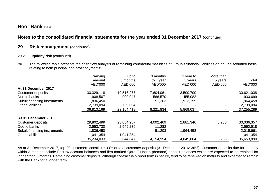## **Notes to the consolidated financial statements for the year ended 31 December 2017** (continued)

### **29 Risk management** (continued)

#### **29.2 Liquidity risk** (continued)

*(a)* The following table presents the cash flow analysis of remaining contractual maturities of Group's financial liabilities on an undiscounted basis, relating to both principal and profit payments:

|                             | Carrying   | Up to      | 3 months  | year to   | More than                |            |
|-----------------------------|------------|------------|-----------|-----------|--------------------------|------------|
|                             | amount     | 3 months   | to 1 year | 5 years   | 5 years                  | Total      |
|                             | AED'000    | AED'000    | AED'000   | AED'000   | AED'000                  | AED'000    |
| At 31 December 2017         |            |            |           |           |                          |            |
| Customer deposits           | 30,329,118 | 19,516,277 | 7,604,061 | 3,500,700 |                          | 30,621,038 |
| Due to banks                | 1,908,507  | 909,047    | 566,570   | 455,082   |                          | 1,930,699  |
| Sukuk financing instruments | 1,836,450  |            | 51,203    | 1,913,255 |                          | 1,964,458  |
| <b>Other liabilities</b>    | 2,739,094  | 2,739,094  |           |           |                          | 2,739,094  |
|                             | 36,813,169 | 23,164,418 | 8,221,834 | 5,869,037 |                          | 37,255,289 |
| At 31 December 2016         |            |            |           |           |                          |            |
| Customer deposits           | 29,802,499 | 23,054,257 | 4,092,469 | 2,881,346 | 8,285                    | 30,036,357 |
| Due to banks                | 2,553,730  | 2,549,236  | 11,282    |           |                          | 2,560,518  |
| Sukuk financing instruments | 1,836,450  |            | 51,203    | 1,964,458 | $\overline{\phantom{0}}$ | 2,015,661  |
| Other liabilities           | 1,041,354  | 1,041,354  |           |           |                          | 1,041,354  |
|                             | 35,234,033 | 26,644,847 | 4,154,954 | 4,845,804 | 8,285                    | 35,653,890 |

As at 31 December 2017, top 20 customers constitute 33% of total customer deposits (31 December 2016: 36%). Customer deposits due for maturity within 3 months include Escrow account balances and lien marked Qard-E-Hasan (demand) deposit balances which are expected to be retained for longer than 3 months. Remaining customer deposits, although contractually short term in nature, tend to be renewed on maturity and expected to remain with the Bank for a longer term.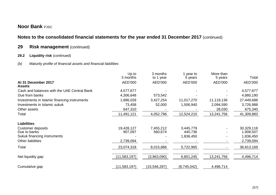# **Notes to the consolidated financial statements for the year ended 31 December 2017** (continued)

## **29 Risk management** (continued)

### **29.2 Liquidity risk** (continued)

### *(b) Maturity profile of financial assets and financial liabilities*

|                                              | Up to<br>3 months     | 3 months<br>to 1 year | 1 year to<br>5 years | More than<br>5 years | Total                   |
|----------------------------------------------|-----------------------|-----------------------|----------------------|----------------------|-------------------------|
| At 31 December 2017<br><b>Assets</b>         | AED'000               | AED'000               | AED'000              | AED'000              | AED'000                 |
| Cash and balances with the UAE Central Bank  | 4,577,677             |                       |                      |                      | 4,577,677               |
| Due from banks                               | 4,306,648             | 573,542               |                      |                      | 4,880,190               |
| Investments in Islamic financing instruments | 1,886,028             | 3,427,254             | 11,017,270           | 11,119,136           | 27,449,688              |
| Investments in Islamic sukuk                 | 73,458                | 52,000                | 1,506,940            | 2,094,590            | 3,726,988               |
| Other assets                                 | 647,310               |                       |                      | 28,030               | 675,340                 |
| Total                                        | 11,491,121            | 4,052,796             | 12,524,210           | 13,241,756           | 41,309,883              |
| <b>Liabilities</b>                           |                       |                       |                      |                      |                         |
| <b>Customer deposits</b><br>Due to banks     | 19,428,127<br>907,097 | 7,455,212<br>560,674  | 3,445,779<br>440,736 |                      | 30,329,118<br>1,908,507 |
| Sukuk financing instruments                  |                       |                       | 1,836,450            |                      | 1,836,450               |
| <b>Other liabilities</b>                     | 2,739,094             |                       |                      |                      | 2,739,094               |
| Total                                        | 23,074,318            | 8,015,886             | 5,722,965            |                      | 36,813,169              |
| Net liquidity gap                            | (11,583,197)          | (3,963,090)           | 6,801,245            | 13,241,756           | 4,496,714               |
| Cumulative gap                               | (11,583,197)          | (15, 546, 287)        | (8,745,042)          | 4,496,714            |                         |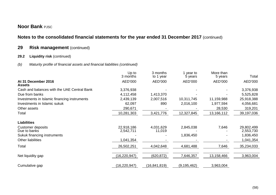# **Notes to the consolidated financial statements for the year ended 31 December 2017** (continued)

# **29 Risk management** (continued)

### **29.2 Liquidity risk** (continued)

*(b) Maturity profile of financial assets and financial liabilities (continued)*

|                                              | Up to<br>3 months       | 3 months<br>to 1 year | year to<br>5 years | More than<br>5 years | Total                   |
|----------------------------------------------|-------------------------|-----------------------|--------------------|----------------------|-------------------------|
| At 31 December 2016<br><b>Assets</b>         | AED'000                 | AED'000               | AED'000            | AED'000              | AED'000                 |
| Cash and balances with the UAE Central Bank  | 3,376,938               |                       |                    |                      | 3,376,938               |
| Due from banks                               | 4,112,458               | 1,413,370             |                    |                      | 5,525,828               |
| Investments in Islamic financing instruments | 2,439,139               | 2,007,516             | 10,311,745         | 11,159,988           | 25,918,388              |
| Investments in Islamic sukuk                 | 62,097                  | 890                   | 2,016,100          | 1,977,594            | 4,056,681               |
| Other assets                                 | 290,671                 |                       |                    | 28,530               | 319,201                 |
| Total                                        | 10,281,303              | 3,421,776             | 12,327,845         | 13,166,112           | 39,197,036              |
| <b>Liabilities</b>                           |                         |                       |                    |                      |                         |
| Customer deposits<br>Due to banks            | 22,918,186<br>2,542,711 | 4,031,629<br>11,019   | 2,845,038          | 7,646                | 29,802,499<br>2,553,730 |
| Sukuk financing instruments                  |                         |                       | 1,836,450          |                      | 1,836,450               |
| <b>Other liabilities</b>                     | 1,041,354               |                       |                    |                      | 1,041,354               |
| Total                                        | 26,502,251              | 4,042,648             | 4,681,488          | 7,646                | 35,234,033              |
| Net liquidity gap                            | (16, 220, 947)          | (620, 872)            | 7,646,357          | 13,158,466           | 3,963,004               |
| Cumulative gap                               | (16, 220, 947)          | (16, 841, 819)        | (9, 195, 462)      | 3,963,004            |                         |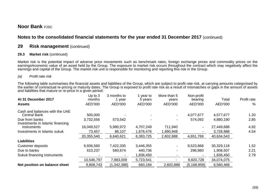## **Notes to the consolidated financial statements for the year ended 31 December 2017** (continued)

### **29 Risk management** (continued)

#### **29.3 Market risk** (continued)

Market risk is the potential impact of adverse price movements such as benchmark rates, foreign exchange prices and commodity prices on the earnings/economic value of an asset held by the Group. The exposure to market risk occurs throughout the contract which may negatively affect the earnings and capital of the Group. The market risk unit is responsible for monitoring and reporting this risk in the Group.

#### *(a) Profit rate risk*

The following table summarises the financial assets and liabilities of the Group, which are subject to profit rate risk, at carrying amounts categorised by the earlier of contractual re-pricing or maturity dates. The Group is exposed to profit rate risk as a result of mismatches or gaps in the amount of assets and liabilities that mature or re-price in a given period:

| At 31 December 2017                                   | Up to $3$<br>months | 3 months to<br>1 year | year to<br>5 years | More than 5<br>years | Non-profit<br>bearing    | Total      | Profit rate |
|-------------------------------------------------------|---------------------|-----------------------|--------------------|----------------------|--------------------------|------------|-------------|
| <b>Assets</b>                                         | AED'000             | AED'000               | AED'000            | AED'000              | AED'000                  | AED'000    | %           |
| Cash and balances with the UAE<br><b>Central Bank</b> | 500,000             |                       |                    |                      | 4,077,677                | 4,577,677  | 1.20        |
| Due from banks<br>Investments in Islamic financing    | 3,732,556           | 573,542               |                    |                      | 574,092                  | 4,880,190  | 2.85        |
| instruments                                           | 16,049,527          | 5,980,972             | 4,707,249          | 711,940              | $\blacksquare$           | 27,449,688 | 4.92        |
| Investments in Islamic sukuk                          | 73,457              | 86,107                | 1,676,476          | 1,890,948            | $\overline{\phantom{a}}$ | 3,726,988  | 4.54        |
|                                                       | 20,355,540          | 6,640,621             | 6,383,725          | 2,602,888            | 4,651,769                | 40,634,543 |             |
| <b>Liabilities</b>                                    |                     |                       |                    |                      |                          |            |             |
| Customer deposits                                     | 9,936,560           | 7,422,335             | 3,446,355          |                      | 9,523,868                | 30,329,118 | 1.52        |
| Due to banks                                          | 610,237             | 560,674               | 440,736            |                      | 296,860                  | 1,908,507  | 2.21        |
| Sukuk financing instruments                           |                     |                       | 1,836,450          |                      |                          | 1,836,450  | 2.79        |
|                                                       | 10,546,797          | 7,983,009             | 5,723,541          |                      | 9,820,728                | 34,074,075 |             |
| Net position on balance sheet                         | 9,808,743           | (1,342,388)           | 660,184            | 2,602,888            | (5, 168, 959)            | 6,560,468  |             |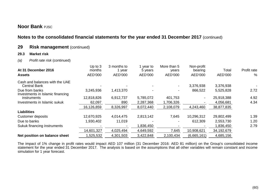## **Notes to the consolidated financial statements for the year ended 31 December 2017** (continued)

### **29 Risk management** (continued)

#### **29.3 Market risk**

#### *(a) Profit rate risk* (continued)

| At 31 December 2016                                   | Up to $3$<br>months | 3 months to<br>year | year to<br>5 years | More than 5<br>years | Non-profit<br>bearing | Total      | Profit rate |
|-------------------------------------------------------|---------------------|---------------------|--------------------|----------------------|-----------------------|------------|-------------|
| <b>Assets</b>                                         | AED'000             | AED'000             | AED'000            | AED'000              | AED'000               | AED'000    | %           |
| Cash and balances with the UAE<br><b>Central Bank</b> |                     |                     |                    |                      | 3,376,938             | 3,376,938  |             |
| Due from banks<br>Investments in Islamic financing    | 3,245,936           | 1,413,370           |                    |                      | 866,522               | 5,525,828  | 2.72        |
| instruments                                           | 12,818,826          | 6,912,737           | 5,785,072          | 401,753              | $\blacksquare$        | 25,918,388 | 4.92        |
| Investments in Islamic sukuk                          | 62,097              | 890                 | 2,287,368          | 1,706,326            |                       | 4,056,681  | 4.34        |
|                                                       | 16,126,859          | 8,326,997           | 8,072,440          | 2,108,079            | 4,243,460             | 38,877,835 |             |
| <b>Liabilities</b>                                    |                     |                     |                    |                      |                       |            |             |
| Customer deposits                                     | 12,670,925          | 4,014,475           | 2,813,142          | 7,645                | 10,296,312            | 29,802,499 | 1.39        |
| Due to banks                                          | 930,402.            | 11,019              |                    |                      | 612,309               | 2,553,730  | 1.20        |
| Sukuk financing instruments                           |                     |                     | 836,450,           |                      |                       | 1,836,450  | 2.79        |
|                                                       | 14,601,327          | 4,025,494           | 4,649,592          | 7,645                | 10,908,621            | 34,192,679 |             |
| Net position on balance sheet                         | 1,525,532           | 4,301,503           | 3,422,848          | 2,100,434            | (6,665,161)           | 4,685,156  |             |

The impact of 1% change in profit rates would impact AED 107 million (31 December 2016: AED 81 million) on the Group's consolidated income statement for the year ended 31 December 2017. The analysis is based on the assumptions that all other variables will remain constant and income simulation for 1 year forecast.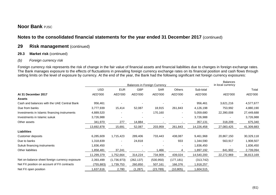## **Notes to the consolidated financial statements for the year ended 31 December 2017** (continued)

### **29 Risk management** (continued)

#### **29.3 Market risk** (continued)

#### *(b) Foreign currency risk*

Foreign currency risk represents the risk of change in the fair value of financial assets and financial liabilities due to changes in foreign exchange rates. The Bank manages exposure to the effects of fluctuations in prevailing foreign currency exchange rates on its financial position and cash flows through setting limits on the level of exposure by currency. At the end of the year, the Bank had the following significant net foreign currency exposures:

|                                                |            |                          |                          | <b>Balances in Foreign Currency</b> |               |            | Balances<br>in local currency |            |
|------------------------------------------------|------------|--------------------------|--------------------------|-------------------------------------|---------------|------------|-------------------------------|------------|
|                                                | <b>USD</b> | <b>EUR</b>               | <b>GBP</b>               | <b>SAR</b>                          | <b>Others</b> | Sub-total  |                               | Total      |
| At 31 December 2017                            | AED'000    | AED'000                  | AED'000                  | AED'000                             | AED'000       | AED'000    | AED'000                       | AED'000    |
| <b>Assets</b>                                  |            |                          |                          |                                     |               |            |                               |            |
| Cash and balances with the UAE Central Bank    | 956,461    |                          |                          |                                     |               | 956,461    | 3,621,216                     | 4,577,677  |
| Due from banks                                 | 3,777,939  | 15,414                   | 52,087                   | 18,915                              | 261,843       | 4,126,198  | 753,992                       | 4,880,190  |
| Investments in Islamic financing instruments   | 4,889,520  |                          | $\overline{\phantom{a}}$ | 170,160                             |               | 5,059,680  | 22,390,008                    | 27,449,688 |
| Investments in Islamic sukuk                   | 3,726,988  |                          |                          |                                     |               | 3,726,988  |                               | 3,726,988  |
| Other assets                                   | 341,970    | 277                      | 14,884                   |                                     |               | 357,131    | 318,209                       | 675,340    |
|                                                | 13,692,878 | 15,691                   | 52,087                   | 203,959                             | 261,843       | 14,226,458 | 27,083,425                    | 41,309,883 |
| <b>Liabilities</b>                             |            |                          |                          |                                     |               |            |                               |            |
| Customer deposits                              | 6,285,609  | 1,715,423                | 289,406                  | 733,443                             | 438,087       | 9,461,968  | 20,867,150                    | 30,329,118 |
| Due to banks                                   | 1,318,839  | $\overline{\phantom{a}}$ | 24,818                   |                                     | 933           | 1,344,590  | 563,917                       | 1,908,507  |
| Sukuk financing instruments                    | 1,836,450  |                          |                          |                                     |               | 1,836,450  |                               | 1,836,450  |
| Other liabilities                              | 1,858,481  | 37,241                   |                          | 1,466                               |               | 1,897,192  | 841,902                       | 2,739,094  |
|                                                | 1,299,379  | 1,752,664                | 314,224                  | 734,909                             | 439,024       | 14,540,200 | 22,272,969                    | 36,813,169 |
| Net on-balance sheet foreign currency exposure | 2,393,499  | (1,736,973)              | (262, 137)               | (530, 950)                          | (177, 181)    | (313, 742) |                               |            |
| Net FX position on account of FX contracts     | (755,883)  | 1,739,753                | 260,850                  | 507,161                             | 166,376       | 1,918,257  |                               |            |
| Net FX open position                           | 1,637,616  | 2,780                    | (1, 287)                 | (23, 789)                           | (10, 805)     | 1,604,515  |                               |            |

Balances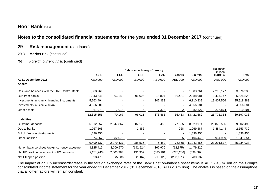## **Notes to the consolidated financial statements for the year ended 31 December 2017** (continued)

### **29 Risk management** (continued)

#### **29.3 Market risk** (continued)

#### *(b) Foreign currency risk* (continued)

|                                                |             | <b>Balances in Foreign Currency</b> |                          |            |            |            | <b>Balances</b><br>in local |            |
|------------------------------------------------|-------------|-------------------------------------|--------------------------|------------|------------|------------|-----------------------------|------------|
|                                                | <b>USD</b>  | <b>EUR</b>                          | <b>GBP</b>               | <b>SAR</b> | Others     | Sub-total  | currency                    | Total      |
| At 31 December 2016                            | AED'000     | AED'000                             | AED'000                  | AED'000    | AED'000    | AED'000    | AED'000                     | AED'000    |
| <b>Assets</b>                                  |             |                                     |                          |            |            |            |                             |            |
| Cash and balances with the UAE Central Bank    | 1,083,761   |                                     |                          |            |            | 1,083,761  | 2,293,177                   | 3,376,938  |
| Due from banks                                 | 1,843,641   | 63,149                              | 96,006                   | 18,804     | 66,481     | 2,088,081  | 3,437,747                   | 5,525,828  |
| Investments in Islamic financing instruments   | 5,763,494   |                                     | $\overline{\phantom{a}}$ | 347,338    | ٠          | 6,110,832  | 19,807,556                  | 25,918,388 |
| Investments in Islamic sukuk                   | 4,056,681   |                                     |                          |            |            | 4,056,681  |                             | 4,056,681  |
| Other assets                                   | 67,979      | 7,018                               | 5                        | 7,323      |            | 82,327     | 236,874                     | 319,201    |
|                                                | 12,815,556  | 70,167                              | 96,011                   | 373,465    | 66,483     | 13,421,682 | 25,775,354                  | 39,197,036 |
| Liabilities                                    |             |                                     |                          |            |            |            |                             |            |
| Customer deposits                              | 6,512,057   | 2,047,367                           | 287,179                  | 5,486      | 77,885     | 8,929,974  | 20,872,525                  | 29,802,499 |
| Due to banks                                   | 1,067,263   |                                     | 1,356                    |            | 968        | 1,069,587  | 1,484,143                   | 2,553,730  |
| Sukuk financing instruments                    | 1,836,450   |                                     |                          |            |            | 1,836,450  |                             | 1,836,450  |
| Other liabilities                              | 74,367      | 32,070                              |                          | 3          | 5          | 106,445    | 934,909                     | 1,041,354  |
|                                                | 9,490,137   | 2,079,437                           | 288,535                  | 5,489      | 78,858     | 11,942,456 | 23,291,577                  | 35,234,033 |
| Net on-balance sheet foreign currency exposure | 3,325,419   | (2,009,270)                         | (192, 524)               | 367,976    | (12, 375)  | 1,479,226  |                             |            |
| Net FX position on account of FX contracts     | (2,231,943) | 2,003,384                           | 191,357                  | (385, 101) | (276, 286) | (698, 589) |                             |            |
| Net FX open position                           | 1,093,476   | (5,886)                             | (1, 167)                 | (17, 125)  | (288, 661) | 780,637    |                             |            |

The impact of an 1% increase/decrease in the foreign exchange rates of the Bank's net on-balance sheet items is AED 2.43 million on the Group's consolidated income statement for the year ended 31 December 2017 (31 December 2016: AED 2.0 million). The analysis is based on the assumptions that all other factors will remain constant.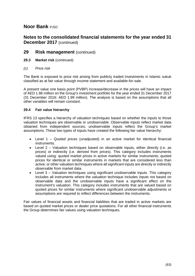## **Notes to the consolidated financial statements for the year ended 31 December 2017** (continued)

### **29 Risk management** (continued)

#### **29.3 Market risk** (continued)

*(c) Price risk*

The Bank is exposed to price risk arising from publicly traded investments in Islamic sukuk classified as at fair value through income statement and available-for-sale.

A present value one basis point (PVBP) increase/decrease in the prices will have an impact of AED 1.86 million on the Group's investment portfolio for the year ended 31 December 2017 (31 December 2016: AED 1.99 million). The analysis is based on the assumptions that all other variables will remain constant.

#### **29.4 Fair value hierarchy**

IFRS 13 specifies a hierarchy of valuation techniques based on whether the inputs to those valuation techniques are observable or unobservable. Observable inputs reflect market data obtained from independent sources; unobservable inputs reflect the Group's market assumptions. These two types of inputs have created the following fair value hierarchy:

- Level 1 Quoted prices (unadjusted) in an active market for identical financial instruments.
- Level 2 Valuation techniques based on observable inputs, either directly (i.e. as prices) or indirectly (i.e. derived from prices). This category includes instruments valued using: quoted market prices in active markets for similar instruments; quoted prices for identical or similar instruments in markets that are considered less than active; or other valuation techniques where all significant inputs are directly or indirectly observable from market data.
- Level 3 Valuation techniques using significant unobservable inputs. This category includes all instruments where the valuation technique includes inputs not based on observable data and the unobservable inputs have a significant effect on the instrument's valuation. This category includes instruments that are valued based on quoted prices for similar instruments where significant unobservable adjustments or assumptions are required to reflect differences between the instruments.

Fair values of financial assets and financial liabilities that are traded in active markets are based on quoted market prices or dealer price quotations. For all other financial instruments the Group determines fair values using valuation techniques.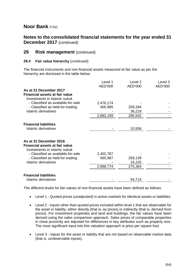## **Notes to the consolidated financial statements for the year ended 31 December 2017** (continued)

### **29 Risk management** (continued)

#### **29.4 Fair value hierarchy** (continued)

The financial instruments and non-financial assets measured at fair value as per the hierarchy are disclosed in the table below:

|                                       | Level 1<br>AED'000 | Level <sub>2</sub><br>AED'000 | Level 3<br>AED'000 |
|---------------------------------------|--------------------|-------------------------------|--------------------|
| As at 31 December 2017                |                    |                               |                    |
| <b>Financial assets at fair value</b> |                    |                               |                    |
| Investments in Islamic sukuk          |                    |                               |                    |
| - Classified as available-for-sale    | 2,476,174          |                               |                    |
| - Classified as held-for-trading      | 405,985            | 259,284                       |                    |
| Islamic derivatives                   |                    | 36,218                        |                    |
|                                       | 2,882,159          | 295,502                       |                    |
|                                       |                    |                               |                    |
| <b>Financial liabilities</b>          |                    |                               |                    |
| <b>Islamic derivatives</b>            |                    | 10,556                        |                    |
|                                       |                    |                               |                    |
| As at 31 December 2016                |                    |                               |                    |
| <b>Financial assets at fair value</b> |                    |                               |                    |
| Investments in Islamic sukuk          |                    |                               |                    |
| - Classified as available-for-sale    | 2,402,787          |                               |                    |
| - Classified as held-for-trading      | 565,987            | 259,139                       |                    |
| <b>Islamic derivatives</b>            |                    | 16,225                        |                    |
|                                       | 2,968,774          | 275,364                       |                    |
|                                       |                    |                               |                    |
| <b>Financial liabilities</b>          |                    |                               |                    |
| Islamic derivatives                   |                    | 54,714                        |                    |

The different levels for fair values of non-financial assets have been defined as follows:

- Level 1 Quoted prices (unadjusted) in active markets for identical assets or liabilities.
- Level 2 Inputs other than quoted prices included within level 1 that are observable for the asset or liability, either directly (that is, as prices) or indirectly (that is, derived from prices). For investment properties and land and buildings, the fair values have been derived using the sales comparison approach. Sales prices of comparable properties in close proximity are adjusted for differences in key attributes such as property size. The most significant input into this valuation approach is price per square foot.
- Level 3 Inputs for the asset or liability that are not based on observable market data (that is, unobservable inputs).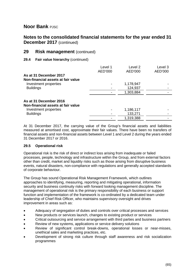## **Notes to the consolidated financial statements for the year ended 31 December 2017** (continued)

### **29 Risk management** (continued)

#### **29.4 Fair value hierarchy** (continued)

|                                                              | Level 1<br>AED'000 | Level <sub>2</sub><br>AED'000 | Level 3<br>AED'000 |
|--------------------------------------------------------------|--------------------|-------------------------------|--------------------|
| As at 31 December 2017<br>Non-financial assets at fair value |                    |                               |                    |
| Investment properties                                        |                    | 1,178,947                     |                    |
| <b>Buildings</b>                                             |                    | 124,937                       |                    |
|                                                              |                    | 1,303,884                     |                    |
| As at 31 December 2016<br>Non-financial assets at fair value |                    |                               |                    |
| Investment properties                                        |                    | 1,186,117                     |                    |
| <b>Buildings</b>                                             |                    | 133,271                       |                    |
|                                                              |                    | 1,319,388                     |                    |

At 31 December 2017, the carrying value of the Group's financial assets and liabilities measured at amortised cost, approximate their fair values. There have been no transfers of financial assets and non-financial assets between Level 1 and Level 2 during the years ended 31 December 2017 or 2016.

#### **29.5 Operational risk**

Operational risk is the risk of direct or indirect loss arising from inadequate or failed processes, people, technology and infrastructure within the Group, and from external factors other than credit, market and liquidity risks such as those arising from disruptive business events, natural disasters, non-compliance with regulations and generally accepted standards of corporate behaviour.

The Group has sound Operational Risk Management Framework, which outlines approaches to identifying, measuring, reporting and mitigating operational, information security and business continuity risks with forward looking management discipline. The management of operational risk is the primary responsibility of each business or support function and implementation of the framework is co-ordinated by a dedicated team under leadership of Chief Risk Officer, who maintains supervisory oversight and drives improvement in areas such as:

- Adequacy of segregation of duties and controls over critical processes and services
- New products or services launch, changes to existing product or services
- Critical outsourcing and service arrangement with third parties and business partners
- Review of new systems, applications or service delivery solutions
- Review of significant control break-downs, operational losses or near-misses, unethical sales and marketing practices, etc.
- Development of strong risk culture through staff awareness and risk socialization programmes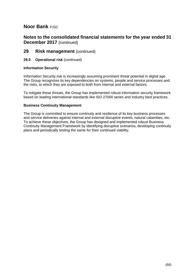## **Notes to the consolidated financial statements for the year ended 31 December 2017** (continued)

### **29 Risk management** (continued)

#### **29.5 Operational risk** (continued)

#### **Information Security**

Information Security risk is increasingly assuming prominent threat potential in digital age. The Group recognizes its key dependencies on systems, people and service processes and the risks, to which they are exposed to both from internal and external factors.

To mitigate these threats, the Group has implemented robust information security framework based on leading international standards like ISO 27000 series and industry best practices.

#### **Business Continuity Management**

The Group is committed to ensure continuity and resilience of its key business processes and service deliveries against internal and external disruptive events, natural calamities, etc. To achieve these objectives, the Group has designed and implemented robust Business Continuity Management Framework by identifying disruptive scenarios, developing continuity plans and periodically testing the same for their continued viability.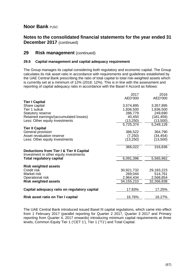## **Notes to the consolidated financial statements for the year ended 31 December 2017** (continued)

### **29 Risk management** (continued)

#### **29.6 Capital management and capital adequacy requirement**

The Group manages its capital considering both regulatory and economic capital. The Group calculates its risk asset ratio in accordance with requirements and guidelines established by the UAE Central Bank prescribing the ratio of total capital to total risk-weighted assets which is currently set at a minimum of 12% (2016: 12%). This is in line with the assessment and reporting of capital adequacy ratio in accordance with the Basel II Accord as follows:

|                                                     | 2017         | 2016       |
|-----------------------------------------------------|--------------|------------|
|                                                     | AED'000      | AED'000    |
| <b>Tier I Capital</b>                               |              |            |
| Share capital                                       | 3,574,895    | 3,357,895  |
| Tier 1 sukuk                                        | 1,836,500    | 1,836,500  |
| <b>Statutory reserve</b>                            | 286,779      | 249,690    |
| Retained earnings/(accumulated losses)              | 40,450       | (181, 459) |
| Less: Other equity investments                      | (13, 250)    | (13,500)   |
|                                                     | 5,725,374    | 5,249,126  |
| <b>Tier II Capital</b>                              |              |            |
| General provision                                   | 386,522      | 364,790    |
| Asset revaluation reserve                           | (7,250)      | (34, 454)  |
| Less: Other equity investments                      | (13,250)     | (13,500)   |
|                                                     |              |            |
|                                                     | 366,022      | 316,836    |
| <b>Deductions from Tier I &amp; Tier II Capital</b> |              |            |
| Investment in other equity investments              |              |            |
| <b>Total regulatory capital</b>                     | 6,091,396    | 5,565,962  |
|                                                     |              |            |
| <b>Risk weighted assets</b>                         |              |            |
| Credit risk                                         | 30,921,732   | 29,183,223 |
| Market risk                                         | 269,044      | 514,761    |
| Operational risk                                    | 2,964,434    | 2,568,854  |
| <b>Risk weighted assets</b>                         | 34, 155, 210 | 32,266,838 |
|                                                     |              |            |
| Capital adequacy ratio on regulatory capital        | 17.83%       | 17.25%     |
| Risk asset ratio on Tier I capital                  | 16.76%       | 16.27%     |
|                                                     |              |            |

The UAE Central Bank introduced issued Basel III capital regulations, which came into effect from 1 February 2017 (parallel reporting for Quarter 2 2017, Quarter 3 2017 and Primary reporting from Quarter 4, 2017 onwards) introducing minimum capital requirements at three levels, Common Equity Tier 1 ('CET 1'), Tier 1 ('T1') and Total Capital.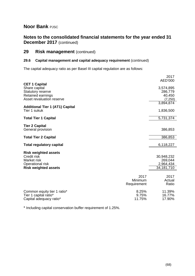## **Notes to the consolidated financial statements for the year ended 31 December 2017** (continued)

### **29 Risk management** (continued)

### **29.6 Capital management and capital adequacy requirement** (continued)

The capital adequacy ratio as per Basel III capital regulation are as follows:

|                                                                                                                     |                                | 2017<br>AED'000                                    |
|---------------------------------------------------------------------------------------------------------------------|--------------------------------|----------------------------------------------------|
| <b>CET 1 Capital</b><br>Share capital<br><b>Statutory reserve</b><br>Retained earnings<br>Asset revaluation reserve |                                | 3,574,895<br>286,779<br>40,450<br>(7, 250)         |
| <b>Additional Tier 1 (AT1) Capital</b><br>Tier 1 sukuk                                                              |                                | 3,894,874<br>1,836,500                             |
| <b>Total Tier 1 Capital</b>                                                                                         |                                | 5,731,374                                          |
| <b>Tier 2 Capital</b><br>General provision                                                                          |                                | 386,853                                            |
| <b>Total Tier 2 Capital</b>                                                                                         |                                | 386,853                                            |
| <b>Total regulatory capital</b>                                                                                     |                                | 6,118,227                                          |
| <b>Risk weighted assets</b><br>Credit risk<br>Market risk<br>Operational risk<br><b>Risk weighted assets</b>        |                                | 30,948,232<br>269,044<br>2,964,434<br>34, 181, 710 |
|                                                                                                                     | 2017<br>Minimum<br>Requirement | 2017<br>Actual<br>Ratio                            |
| Common equity tier 1 ratio*<br>Tier 1 capital ratio*<br>Capital adequacy ratio*                                     | 8.25%<br>9.75%<br>11.75%       | 11.39%<br>16.77%<br>17.90%                         |

\* Including capital conservation buffer requirement of 1.25%.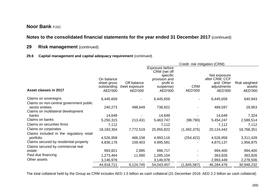## **Notes to the consolidated financial statements for the year ended 31 December 2017** (continued)

## **29 Risk management** (continued)

### **29.6 Capital management and capital adequacy requirement** (continued)

|                                                            |                                      |                                                      | Credit risk mitigation (CRM)                                                                      |                       |                                                                       |                                    |
|------------------------------------------------------------|--------------------------------------|------------------------------------------------------|---------------------------------------------------------------------------------------------------|-----------------------|-----------------------------------------------------------------------|------------------------------------|
| Asset classes in 2017                                      | On balance<br>sheet gross<br>AED'000 | Off balance<br>outstanding sheet exposure<br>AED'000 | Exposure before<br>CRM (net off<br>specific<br>provision and<br>profit in<br>suspense)<br>AED'000 | <b>CRM</b><br>AED'000 | Net exposure<br>after CRM, CCF<br>and Other<br>adjustments<br>AED'000 | Risk weighted<br>assets<br>AED'000 |
| Claims on sovereigns                                       | 6,445,659                            |                                                      | 6,445,659                                                                                         |                       | 6,445,659                                                             | 640,943                            |
| Claims on non-central government public<br>sector entities | 240,273                              | 498,649                                              | 738,922                                                                                           |                       | 489,597                                                               | 29,953                             |
| Claims on multilateral development                         |                                      |                                                      |                                                                                                   |                       |                                                                       |                                    |
| banks                                                      | 14,649                               |                                                      | 14,649                                                                                            |                       | 14,649                                                                | 7,324                              |
| Claims on banks                                            | 5,250,315                            | 213,431                                              | 5,463,747                                                                                         | (98, 790)             | 5,454,247                                                             | 2,589,514                          |
| Claims on securities firms                                 | 7,112                                |                                                      | 7,112                                                                                             |                       | 7,112                                                                 | 7,112                              |
| Claims on corporates                                       | 18,183,304                           | 7,772,519                                            | 25,955,822                                                                                        | (1,492,375)           | 20,124,442                                                            | 18,768,351                         |
| Claims included in the regulatory retail                   |                                      |                                                      |                                                                                                   |                       |                                                                       |                                    |
| portfolio                                                  | 4,526,958                            | 466,158                                              | 4,993,116                                                                                         | (254, 422)            | 4,526,958                                                             | 3,311,428                          |
| Claims secured by residential property                     | 4,836,178                            | 159,403                                              | 4,995,581                                                                                         |                       | 4,870,137                                                             | 1,956,875                          |
| Claims secured by commercial real                          |                                      |                                                      |                                                                                                   |                       |                                                                       |                                    |
| estate                                                     | 993,821                              | 2,895                                                | 996,717                                                                                           |                       | 994,400                                                               | 994,400                            |
| Past due financing                                         | 1,273,464                            | 11,690                                               | 1,285,154                                                                                         |                       | 363,826                                                               | 363,826                            |
| Other assets                                               | 3,146,978                            |                                                      | 3,146,978                                                                                         |                       | 2,993,449                                                             | 2,278,506                          |
|                                                            | 44,918,711                           | 9,124,745                                            | 54,043,457                                                                                        | (1,845,587)           | 46,284,476                                                            | 30,948,232                         |

The total collateral held by the Group as CRM includes AED 1.5 billion as cash collateral (31 December 2016: AED 2.2 billion as cash collateral).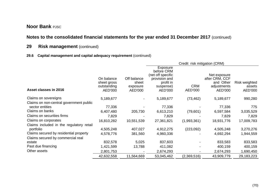# **Noor Bank PJSC**

# **Notes to the consolidated financial statements for the year ended 31 December 2017** (continued)

# **29 Risk management** (continued)

### **29.6 Capital management and capital adequacy requirement** (continued)

|                                          |                                                     |                                             | Credit risk mitigation (CRM)                                                                      |                       |                                                                       |                                    |
|------------------------------------------|-----------------------------------------------------|---------------------------------------------|---------------------------------------------------------------------------------------------------|-----------------------|-----------------------------------------------------------------------|------------------------------------|
| Asset classes in 2016                    | On balance<br>sheet gross<br>outstanding<br>AED'000 | Off balance<br>sheet<br>exposure<br>AED'000 | Exposure<br>before CRM<br>(net off specific<br>provision and<br>profit in<br>suspense)<br>AED'000 | <b>CRM</b><br>AED'000 | Net exposure<br>after CRM, CCF<br>and Other<br>adjustments<br>AED'000 | Risk weighted<br>assets<br>AED'000 |
| Claims on sovereigns                     | 5,189,677                                           |                                             | 5,189,677                                                                                         | (73, 462)             | 5,189,677                                                             | 990,280                            |
| Claims on non-central government public  |                                                     |                                             |                                                                                                   |                       |                                                                       |                                    |
| sector entities                          | 77,336                                              |                                             | 77,336                                                                                            |                       | 77,336                                                                | 775                                |
| Claims on banks                          | 6,407,480                                           | 205,730                                     | 6,613,210                                                                                         | (79,601)              | 6,597,584                                                             | 3,035,529                          |
| Claims on securities firms               | 7,829                                               |                                             | 7,829                                                                                             |                       | 7,829                                                                 | 7,829                              |
| Claims on corporates                     | 16,810,282                                          | 10,551,539                                  | 27,361,821                                                                                        | (1,993,361)           | 18,931,776                                                            | 17,009,783                         |
| Claims included in the regulatory retail |                                                     |                                             |                                                                                                   |                       |                                                                       |                                    |
| portfolio                                | 4,505,248                                           | 407,027                                     | 4,912,275                                                                                         | (223,092)             | 4,505,248                                                             | 3,270,276                          |
| Claims secured by residential property   | 4,578,776                                           | 381,560                                     | 4,960,336                                                                                         |                       | 4,692,294                                                             | 1,944,559                          |
| Claims secured by commercial real        |                                                     |                                             |                                                                                                   |                       |                                                                       |                                    |
| estate                                   | 832,578                                             | 5,025                                       | 837,603                                                                                           |                       | 833,583                                                               | 833,583                            |
| Past due financing                       | 1,421,599                                           | 13,788                                      | 411,082                                                                                           |                       | 400,159                                                               | 400,159                            |
| Other assets                             | 2,801,753                                           |                                             | 2,674,293                                                                                         |                       | 2,674,293                                                             | 1,690,450                          |
|                                          | 42,632,558                                          | 11,564,669                                  | 53,045,462                                                                                        | (2,369,516)           | 43,909,779                                                            | 29,183,223                         |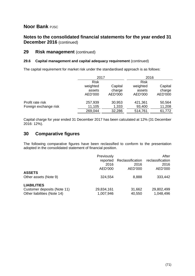## **Noor Bank** PJSC

## **Notes to the consolidated financial statements for the year ended 31 December 2016** (continued)

### **29 Risk management** (continued)

#### **29.6 Capital management and capital adequacy requirement** (continued)

The capital requirement for market risk under the standardised approach is as follows:

|                       | 2017        |         | 2016        |         |
|-----------------------|-------------|---------|-------------|---------|
|                       | <b>Risk</b> |         | <b>Risk</b> |         |
|                       | weighted    | Capital | weighted    | Capital |
|                       | assets      | charge  | assets      | charge  |
|                       | AED'000     | AED'000 | AED'000     | AED'000 |
| Profit rate risk      | 257,939     | 30,953  | 421,361     | 50,564  |
| Foreign exchange risk | 11,105      | 1,333   | 93,400      | 11,208  |
|                       | 269,044     | 32,286  | 514,761     | 61,772  |

Capital charge for year ended 31 December 2017 has been calculated at 12% (31 December 2016: 12%).

### **30 Comparative figures**

The following comparative figures have been reclassified to conform to the presentation adopted in the consolidated statement of financial position.

|                             | Previously |                  | After            |
|-----------------------------|------------|------------------|------------------|
|                             | reported   | Reclassification | reclassification |
|                             | 2016       | 2016             | 2016             |
|                             | AED'000    | AED'000          | AED'000          |
| <b>ASSETS</b>               |            |                  |                  |
| Other assets (Note 9)       | 324,554    | 8,888            | 333,442          |
| <b>LIABILITIES</b>          |            |                  |                  |
| Customer deposits (Note 11) | 29,834,161 | 31,662           | 29,802,499       |
| Other liabilities (Note 14) | 1,007,946  | 40,550           | 1,048,496        |